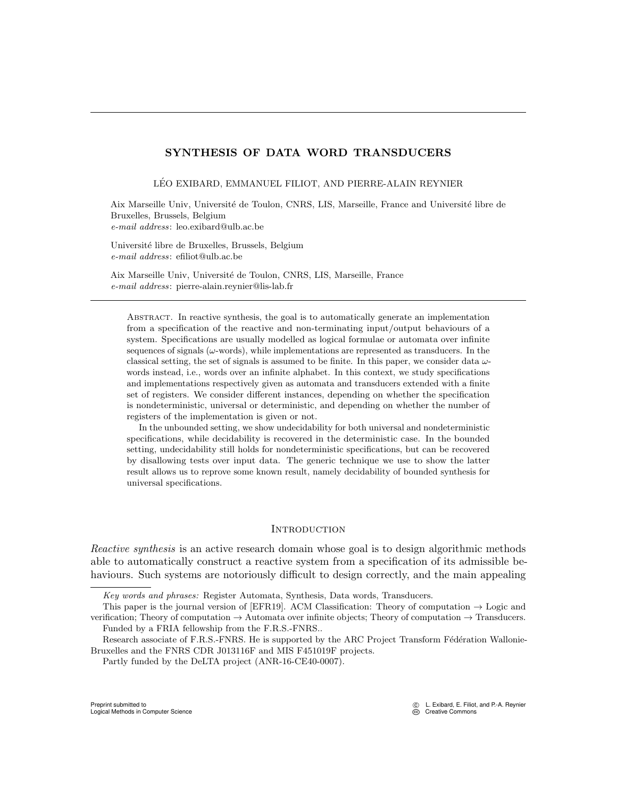# SYNTHESIS OF DATA WORD TRANSDUCERS

LÉO EXIBARD, EMMANUEL FILIOT, AND PIERRE-ALAIN REYNIER

Aix Marseille Univ, Université de Toulon, CNRS, LIS, Marseille, France and Université libre de Bruxelles, Brussels, Belgium e-mail address: leo.exibard@ulb.ac.be

Université libre de Bruxelles, Brussels, Belgium e-mail address: efiliot@ulb.ac.be

Aix Marseille Univ, Université de Toulon, CNRS, LIS, Marseille, France e-mail address: pierre-alain.reynier@lis-lab.fr

Abstract. In reactive synthesis, the goal is to automatically generate an implementation from a specification of the reactive and non-terminating input/output behaviours of a system. Specifications are usually modelled as logical formulae or automata over infinite sequences of signals ( $\omega$ -words), while implementations are represented as transducers. In the classical setting, the set of signals is assumed to be finite. In this paper, we consider data  $\omega$ words instead, i.e., words over an infinite alphabet. In this context, we study specifications and implementations respectively given as automata and transducers extended with a finite set of registers. We consider different instances, depending on whether the specification is nondeterministic, universal or deterministic, and depending on whether the number of registers of the implementation is given or not.

In the unbounded setting, we show undecidability for both universal and nondeterministic specifications, while decidability is recovered in the deterministic case. In the bounded setting, undecidability still holds for nondeterministic specifications, but can be recovered by disallowing tests over input data. The generic technique we use to show the latter result allows us to reprove some known result, namely decidability of bounded synthesis for universal specifications.

#### **INTRODUCTION**

Reactive synthesis is an active research domain whose goal is to design algorithmic methods able to automatically construct a reactive system from a specification of its admissible behaviours. Such systems are notoriously difficult to design correctly, and the main appealing

Partly funded by the DeLTA project (ANR-16-CE40-0007).

Key words and phrases: Register Automata, Synthesis, Data words, Transducers.

This paper is the journal version of [\[EFR19\]](#page-24-0). ACM Classification: Theory of computation  $\rightarrow$  Logic and verification; Theory of computation  $\rightarrow$  Automata over infinite objects; Theory of computation  $\rightarrow$  Transducers. Funded by a FRIA fellowship from the F.R.S.-FNRS..

Research associate of F.R.S.-FNRS. He is supported by the ARC Project Transform Fédération Wallonie-Bruxelles and the FNRS CDR J013116F and MIS F451019F projects.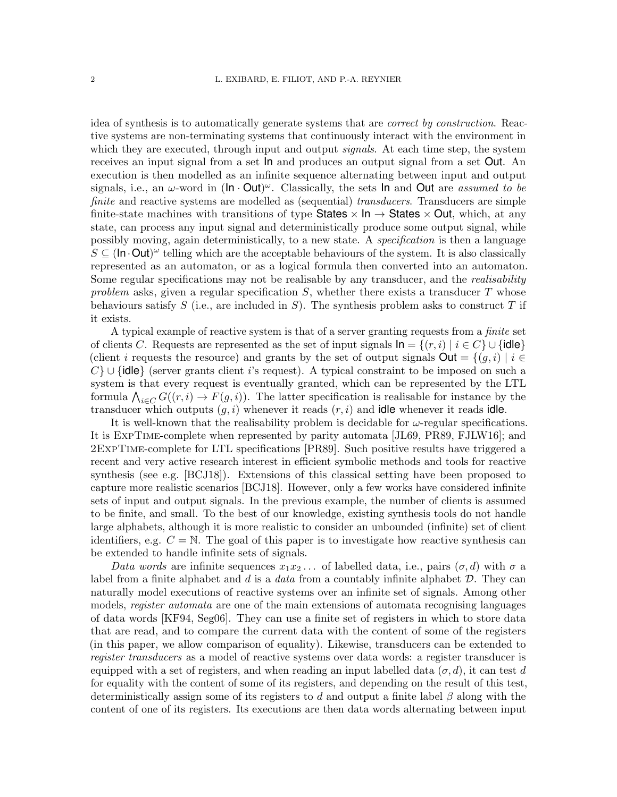idea of synthesis is to automatically generate systems that are correct by construction. Reactive systems are non-terminating systems that continuously interact with the environment in which they are executed, through input and output *signals*. At each time step, the system receives an input signal from a set In and produces an output signal from a set Out. An execution is then modelled as an infinite sequence alternating between input and output signals, i.e., an  $\omega$ -word in (ln  $\cdot$  Out) $\omega$ . Classically, the sets ln and Out are *assumed to be* finite and reactive systems are modelled as (sequential) transducers. Transducers are simple finite-state machines with transitions of type States  $\times$  In  $\rightarrow$  States  $\times$  Out, which, at any state, can process any input signal and deterministically produce some output signal, while possibly moving, again deterministically, to a new state. A specification is then a language  $S \subseteq (\ln \cdot \text{Out})^{\omega}$  telling which are the acceptable behaviours of the system. It is also classically represented as an automaton, or as a logical formula then converted into an automaton. Some regular specifications may not be realisable by any transducer, and the *realisability* problem asks, given a regular specification  $S$ , whether there exists a transducer  $T$  whose behaviours satisfy S (i.e., are included in S). The synthesis problem asks to construct T if it exists.

A typical example of reactive system is that of a server granting requests from a finite set of clients C. Requests are represented as the set of input signals  $\ln = \{(r, i) | i \in C\} \cup \{\text{idle}\}\$ (client i requests the resource) and grants by the set of output signals  $\textsf{Out} = \{(q, i) | i \in$  $C$  ∪ {idle} (server grants client i's request). A typical constraint to be imposed on such a system is that every request is eventually granted, which can be represented by the LTL formula  $\bigwedge_{i\in C} G((r,i) \to F(g,i))$ . The latter specification is realisable for instance by the transducer which outputs  $(g, i)$  whenever it reads  $(r, i)$  and **idle** whenever it reads **idle**.

It is well-known that the realisability problem is decidable for  $\omega$ -regular specifications. It is ExpTime-complete when represented by parity automata [\[JL69,](#page-24-1) [PR89,](#page-24-2) [FJLW16\]](#page-24-3); and 2ExpTime-complete for LTL specifications [\[PR89\]](#page-24-2). Such positive results have triggered a recent and very active research interest in efficient symbolic methods and tools for reactive synthesis (see e.g. [\[BCJ18\]](#page-23-0)). Extensions of this classical setting have been proposed to capture more realistic scenarios [\[BCJ18\]](#page-23-0). However, only a few works have considered infinite sets of input and output signals. In the previous example, the number of clients is assumed to be finite, and small. To the best of our knowledge, existing synthesis tools do not handle large alphabets, although it is more realistic to consider an unbounded (infinite) set of client identifiers, e.g.  $C = N$ . The goal of this paper is to investigate how reactive synthesis can be extended to handle infinite sets of signals.

Data words are infinite sequences  $x_1x_2...$  of labelled data, i.e., pairs  $(\sigma, d)$  with  $\sigma$  a label from a finite alphabet and d is a data from a countably infinite alphabet  $D$ . They can naturally model executions of reactive systems over an infinite set of signals. Among other models, *register automata* are one of the main extensions of automata recognising languages of data words [\[KF94,](#page-24-4) [Seg06\]](#page-24-5). They can use a finite set of registers in which to store data that are read, and to compare the current data with the content of some of the registers (in this paper, we allow comparison of equality). Likewise, transducers can be extended to register transducers as a model of reactive systems over data words: a register transducer is equipped with a set of registers, and when reading an input labelled data  $(\sigma, d)$ , it can test d for equality with the content of some of its registers, and depending on the result of this test, deterministically assign some of its registers to d and output a finite label  $\beta$  along with the content of one of its registers. Its executions are then data words alternating between input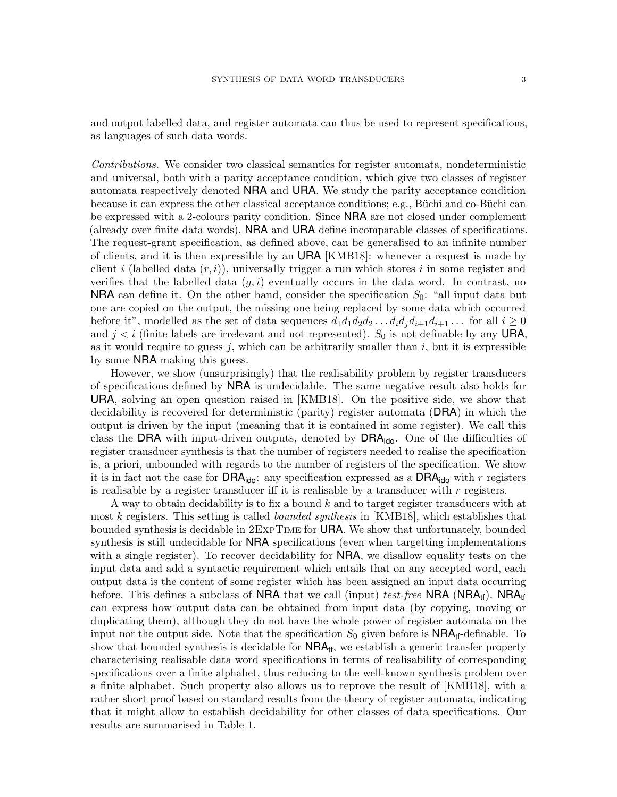and output labelled data, and register automata can thus be used to represent specifications, as languages of such data words.

Contributions. We consider two classical semantics for register automata, nondeterministic and universal, both with a parity acceptance condition, which give two classes of register automata respectively denoted NRA and URA. We study the parity acceptance condition because it can express the other classical acceptance conditions; e.g., Büchi and co-Büchi can be expressed with a 2-colours parity condition. Since NRA are not closed under complement (already over finite data words), NRA and URA define incomparable classes of specifications. The request-grant specification, as defined above, can be generalised to an infinite number of clients, and it is then expressible by an URA [\[KMB18\]](#page-24-6): whenever a request is made by client i (labelled data  $(r, i)$ ), universally trigger a run which stores i in some register and verifies that the labelled data  $(g, i)$  eventually occurs in the data word. In contrast, no **NRA** can define it. On the other hand, consider the specification  $S_0$ : "all input data but one are copied on the output, the missing one being replaced by some data which occurred before it", modelled as the set of data sequences  $d_1d_1d_2d_2\ldots d_id_jd_{i+1}d_{i+1}\ldots$  for all  $i\geq 0$ and  $j < i$  (finite labels are irrelevant and not represented).  $S_0$  is not definable by any URA, as it would require to guess j, which can be arbitrarily smaller than  $i$ , but it is expressible by some NRA making this guess.

However, we show (unsurprisingly) that the realisability problem by register transducers of specifications defined by NRA is undecidable. The same negative result also holds for URA, solving an open question raised in [\[KMB18\]](#page-24-6). On the positive side, we show that decidability is recovered for deterministic (parity) register automata (DRA) in which the output is driven by the input (meaning that it is contained in some register). We call this class the DRA with input-driven outputs, denoted by  $DRA_{\text{ido}}$ . One of the difficulties of register transducer synthesis is that the number of registers needed to realise the specification is, a priori, unbounded with regards to the number of registers of the specification. We show it is in fact not the case for **DRA**<sub>ido</sub>: any specification expressed as a **DRA**<sub>ido</sub> with r registers is realisable by a register transducer iff it is realisable by a transducer with  $r$  registers.

A way to obtain decidability is to fix a bound k and to target register transducers with at most k registers. This setting is called *bounded synthesis* in [\[KMB18\]](#page-24-6), which establishes that bounded synthesis is decidable in 2ExpTime for URA. We show that unfortunately, bounded synthesis is still undecidable for NRA specifications (even when targetting implementations with a single register). To recover decidability for **NRA**, we disallow equality tests on the input data and add a syntactic requirement which entails that on any accepted word, each output data is the content of some register which has been assigned an input data occurring before. This defines a subclass of NRA that we call (input) test-free NRA (NRA<sub>tt</sub>). NRA<sub>tt</sub> can express how output data can be obtained from input data (by copying, moving or duplicating them), although they do not have the whole power of register automata on the input nor the output side. Note that the specification  $S_0$  given before is  $NRA_{\text{tf}}$ -definable. To show that bounded synthesis is decidable for  $NRA<sub>tf</sub>$ , we establish a generic transfer property characterising realisable data word specifications in terms of realisability of corresponding specifications over a finite alphabet, thus reducing to the well-known synthesis problem over a finite alphabet. Such property also allows us to reprove the result of [\[KMB18\]](#page-24-6), with a rather short proof based on standard results from the theory of register automata, indicating that it might allow to establish decidability for other classes of data specifications. Our results are summarised in Table [1.](#page-3-0)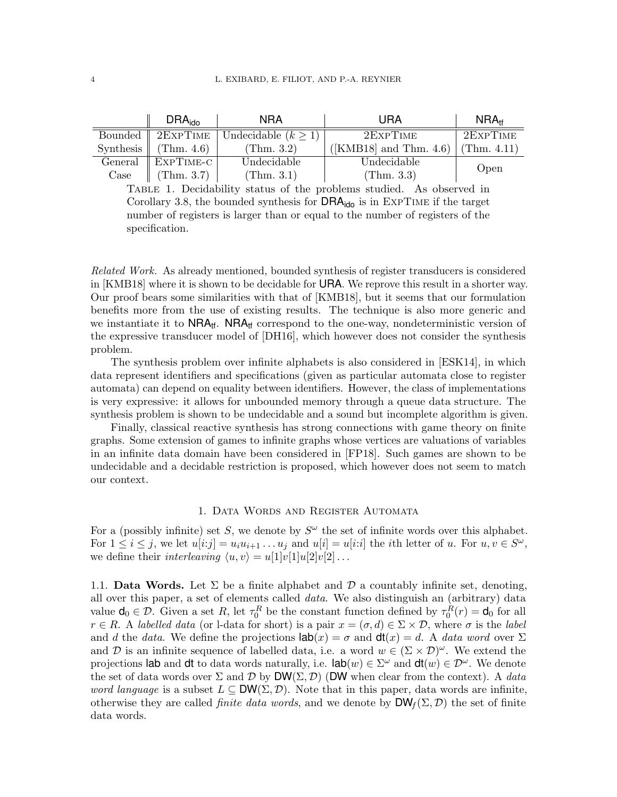<span id="page-3-0"></span>

|            | DRA <sub>ido</sub> | <b>NRA</b>                          | URA                                        | $NRA_{\text{tf}}$ |
|------------|--------------------|-------------------------------------|--------------------------------------------|-------------------|
| Bounded    |                    | $2$ EXPTIME   Undecidable $(k > 1)$ | 2EXPTIME                                   | 2ExpTIME          |
| Synthesis  | (Thm. $4.6$ )      | (Thm. 3.2)                          | ([KMB18] and Thm. 4.6) $\vert$ (Thm. 4.11) |                   |
| General    | EXPTIME-C          | Undecidable                         | Undecidable                                |                   |
| $\rm Case$ | (Thm. 3.7)         | (Thm. 3.1)                          | (Thm. 3.3)                                 | Open              |

Case  $\parallel$  (Thm. 3.7)  $\parallel$  (Thm. 3.1)  $\parallel$  (Thm. 3.3)  $\parallel$  <sup>1</sup><br>TABLE 1. Decidability status of the problems studied. As observed in Corollary [3.8,](#page-15-0) the bounded synthesis for  $DRA_{\text{ido}}$  is in EXPTIME if the target number of registers is larger than or equal to the number of registers of the specification.

Related Work. As already mentioned, bounded synthesis of register transducers is considered in [\[KMB18\]](#page-24-6) where it is shown to be decidable for URA. We reprove this result in a shorter way. Our proof bears some similarities with that of [\[KMB18\]](#page-24-6), but it seems that our formulation benefits more from the use of existing results. The technique is also more generic and we instantiate it to  $NRA_{\text{tf}}$ .  $NRA_{\text{tf}}$  correspond to the one-way, nondeterministic version of the expressive transducer model of [\[DH16\]](#page-24-7), which however does not consider the synthesis problem.

The synthesis problem over infinite alphabets is also considered in [\[ESK14\]](#page-24-8), in which data represent identifiers and specifications (given as particular automata close to register automata) can depend on equality between identifiers. However, the class of implementations is very expressive: it allows for unbounded memory through a queue data structure. The synthesis problem is shown to be undecidable and a sound but incomplete algorithm is given.

Finally, classical reactive synthesis has strong connections with game theory on finite graphs. Some extension of games to infinite graphs whose vertices are valuations of variables in an infinite data domain have been considered in [\[FP18\]](#page-24-9). Such games are shown to be undecidable and a decidable restriction is proposed, which however does not seem to match our context.

## 1. Data Words and Register Automata

For a (possibly infinite) set S, we denote by  $S^{\omega}$  the set of infinite words over this alphabet. For  $1 \leq i \leq j$ , we let  $u[i:j] = u_i u_{i+1} \dots u_j$  and  $u[i] = u[i:i]$  the *i*th letter of u. For  $u, v \in S^{\omega}$ , we define their *interleaving*  $\langle u, v \rangle = u[1]v[1]u[2]v[2] \dots$ 

1.1. Data Words. Let  $\Sigma$  be a finite alphabet and  $\mathcal D$  a countably infinite set, denoting, all over this paper, a set of elements called data. We also distinguish an (arbitrary) data value  $\mathbf{d}_0 \in \mathcal{D}$ . Given a set R, let  $\tau_0^R$  be the constant function defined by  $\tau_0^R(r) = \mathbf{d}_0$  for all  $r \in R$ . A labelled data (or l-data for short) is a pair  $x = (\sigma, d) \in \Sigma \times \mathcal{D}$ , where  $\sigma$  is the label and d the data. We define the projections  $\text{lab}(x) = \sigma$  and  $\text{dt}(x) = d$ . A data word over  $\Sigma$ and D is an infinite sequence of labelled data, i.e. a word  $w \in (\Sigma \times \mathcal{D})^{\omega}$ . We extend the projections lab and dt to data words naturally, i.e.  $\text{lab}(w) \in \Sigma^{\omega}$  and  $\text{dt}(w) \in \mathcal{D}^{\omega}$ . We denote the set of data words over  $\Sigma$  and  $\mathcal D$  by  $DW(\Sigma, \mathcal D)$  (DW when clear from the context). A data word language is a subset  $L \subseteq DW(\Sigma, \mathcal{D})$ . Note that in this paper, data words are infinite, otherwise they are called *finite data words*, and we denote by  $DW_f(\Sigma, \mathcal{D})$  the set of finite data words.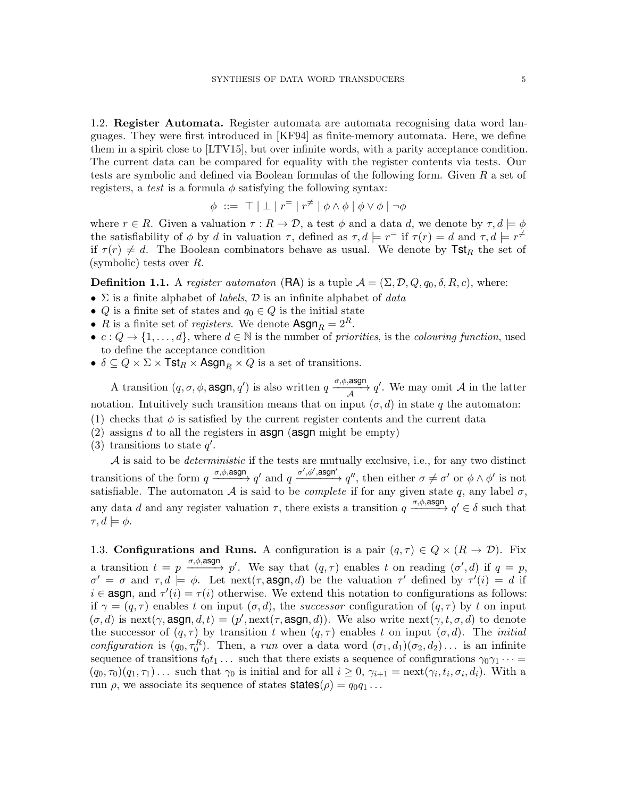1.2. Register Automata. Register automata are automata recognising data word languages. They were first introduced in [\[KF94\]](#page-24-4) as finite-memory automata. Here, we define them in a spirit close to [\[LTV15\]](#page-24-10), but over infinite words, with a parity acceptance condition. The current data can be compared for equality with the register contents via tests. Our tests are symbolic and defined via Boolean formulas of the following form. Given R a set of registers, a test is a formula  $\phi$  satisfying the following syntax:

$$
\phi \ ::= \ \top \mid \bot \mid r^= \mid r^{\neq} \mid \phi \wedge \phi \mid \phi \vee \phi \mid \neg \phi
$$

where  $r \in R$ . Given a valuation  $\tau : R \to \mathcal{D}$ , a test  $\phi$  and a data d, we denote by  $\tau, d \models \phi$ the satisfiability of  $\phi$  by d in valuation  $\tau$ , defined as  $\tau$ ,  $d \models r^{\equiv}$  if  $\tau(r) = d$  and  $\tau$ ,  $d \models r^{\neq}$ if  $\tau(r) \neq d$ . The Boolean combinators behave as usual. We denote by  $\text{Tst}_R$  the set of (symbolic) tests over R.

**Definition 1.1.** A register automaton (RA) is a tuple  $A = (\Sigma, \mathcal{D}, Q, q_0, \delta, R, c)$ , where:

- $\Sigma$  is a finite alphabet of *labels*,  $\mathcal D$  is an infinite alphabet of *data*
- Q is a finite set of states and  $q_0 \in Q$  is the initial state
- R is a finite set of *registers*. We denote  $\text{Asgn}_R = 2^R$ .
- $c: Q \to \{1, \ldots, d\}$ , where  $d \in \mathbb{N}$  is the number of priorities, is the colouring function, used to define the acceptance condition
- $\delta \subseteq Q \times \Sigma \times \textsf{Tst}_R \times \textsf{Asgn}_R \times Q$  is a set of transitions.

A transition  $(q, \sigma, \phi, \text{asgn}, q')$  is also written  $q \xrightarrow{\sigma, \phi, \text{asgn}} q'$ . We may omit A in the latter notation. Intuitively such transition means that on input  $(\sigma, d)$  in state q the automaton:

- (1) checks that  $\phi$  is satisfied by the current register contents and the current data
- (2) assigns d to all the registers in **asgn** (**asgn** might be empty)
- (3) transitions to state  $q'$ .

 $A$  is said to be *deterministic* if the tests are mutually exclusive, i.e., for any two distinct transitions of the form  $q \xrightarrow{\sigma,\phi,\text{asgn}} q'$  and  $q \xrightarrow{\sigma',\phi',\text{asgn'}} q''$ , then either  $\sigma \neq \sigma'$  or  $\phi \wedge \phi'$  is not satisfiable. The automaton A is said to be *complete* if for any given state q, any label  $\sigma$ , any data d and any register valuation  $\tau$ , there exists a transition  $q \xrightarrow{\sigma,\phi,\text{asgn}} q' \in \delta$  such that  $\tau, d \models \phi.$ 

1.3. Configurations and Runs. A configuration is a pair  $(q, \tau) \in Q \times (R \to \mathcal{D})$ . Fix a transition  $t = p \xrightarrow{\sigma, \phi, \text{asgn}} p'$ . We say that  $(q, \tau)$  enables t on reading  $(\sigma', d)$  if  $q = p$ ,  $\sigma' = \sigma$  and  $\tau, d \models \phi$ . Let next( $\tau$ , asgn, d) be the valuation  $\tau'$  defined by  $\tau'(i) = d$  if  $i \in \text{asgn}, \text{ and } \tau'(i) = \tau(i)$  otherwise. We extend this notation to configurations as follows: if  $\gamma = (q, \tau)$  enables t on input  $(\sigma, d)$ , the successor configuration of  $(q, \tau)$  by t on input  $(\sigma, d)$  is next $(\gamma, \text{asgn}, d, t) = (p', \text{next}(\tau, \text{asgn}, d))$ . We also write next $(\gamma, t, \sigma, d)$  to denote the successor of  $(q, \tau)$  by transition t when  $(q, \tau)$  enables t on input  $(\sigma, d)$ . The *initial* configuration is  $(q_0, \tau_0^R)$ . Then, a run over a data word  $(\sigma_1, d_1)(\sigma_2, d_2) \ldots$  is an infinite sequence of transitions  $t_0t_1 \ldots$  such that there exists a sequence of configurations  $\gamma_0 \gamma_1 \cdots$  =  $(q_0, \tau_0)(q_1, \tau_1) \dots$  such that  $\gamma_0$  is initial and for all  $i \geq 0$ ,  $\gamma_{i+1} = \text{next}(\gamma_i, t_i, \sigma_i, d_i)$ . With a run  $\rho$ , we associate its sequence of states **states** $(\rho) = q_0 q_1 \dots$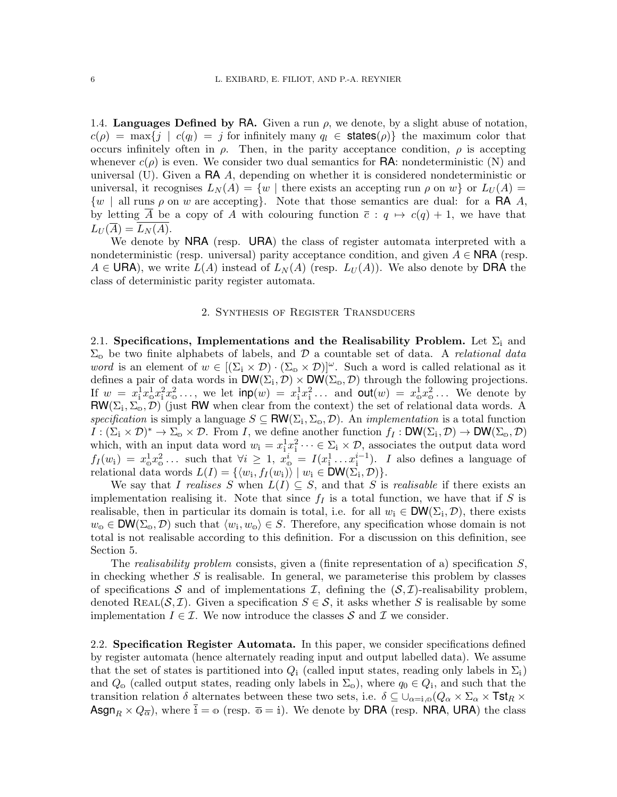1.4. Languages Defined by RA. Given a run  $\rho$ , we denote, by a slight abuse of notation,  $c(\rho) = \max\{j \mid c(q_i) = j \text{ for infinitely many } q_i \in \text{states}(\rho)\}\$  the maximum color that occurs infinitely often in  $\rho$ . Then, in the parity acceptance condition,  $\rho$  is accepting whenever  $c(\rho)$  is even. We consider two dual semantics for **RA**: nondeterministic (N) and universal  $(U)$ . Given a RA A, depending on whether it is considered nondeterministic or universal, it recognises  $L_N(A) = \{w \mid \text{there exists an accepting run } \rho \text{ on } w\}$  or  $L_U(A) =$  $\{w \mid \text{all runs } \rho \text{ on } w \text{ are accepting}\}.$  Note that those semantics are dual: for a **RA** A, by letting  $\overline{A}$  be a copy of A with colouring function  $\overline{c}$ :  $q \mapsto c(q) + 1$ , we have that  $L_U(\overline{A})=L_N(A).$ 

We denote by **NRA** (resp. URA) the class of register automata interpreted with a nondeterministic (resp. universal) parity acceptance condition, and given  $A \in \mathsf{NRA}$  (resp.  $A \in \mathsf{URA}$ , we write  $L(A)$  instead of  $L_N(A)$  (resp.  $L_U(A)$ ). We also denote by DRA the class of deterministic parity register automata.

### 2. Synthesis of Register Transducers

<span id="page-5-1"></span><span id="page-5-0"></span>2.1. Specifications, Implementations and the Realisability Problem. Let  $\Sigma_i$  and  $\Sigma_{\rm o}$  be two finite alphabets of labels, and  $\mathcal D$  a countable set of data. A relational data word is an element of  $w \in [(\Sigma_i \times \mathcal{D}) \cdot (\Sigma_0 \times \mathcal{D})]^{\omega}$ . Such a word is called relational as it defines a pair of data words in  $DW(\Sigma_i, \mathcal{D}) \times DW(\Sigma_o, \mathcal{D})$  through the following projections. If  $w = x_1^1 x_0^1 x_1^2 x_0^2 \dots$ , we let  $\textsf{inp}(w) = x_1^1 x_1^2 \dots$  and  $\textsf{out}(w) = x_0^1 x_0^2 \dots$  We denote by  $\mathsf{RW}(\Sigma_i, \Sigma_o, \mathcal{D})$  (just RW when clear from the context) the set of relational data words. A specification is simply a language  $S \subseteq \text{RW}(\Sigma_i, \Sigma_o, \mathcal{D})$ . An *implementation* is a total function  $I:(\Sigma_{i}\times \mathcal{D})^{*}\to \Sigma_{\omega}\times \mathcal{D}.$  From I, we define another function  $f_{I}:\mathsf{DW}(\Sigma_{i},\mathcal{D})\to \mathsf{DW}(\Sigma_{\omega},\mathcal{D})$ which, with an input data word  $w_i = x_i^1 x_i^2 \cdots \in \Sigma_i \times \mathcal{D}$ , associates the output data word  $f_I(w_i) = x_0^1 x_0^2 \ldots$  such that  $\forall i \geq 1, x_0^i = I(x_1^1 \ldots x_1^{i-1})$ . I also defines a language of relational data words  $L(I) = \{ \langle w_{i}, f_{I}(w_{i}) \rangle \mid w_{i} \in \mathsf{DW}(\Sigma_{i}, \mathcal{D}) \}.$ 

We say that I realises S when  $L(I) \subseteq S$ , and that S is realisable if there exists an implementation realising it. Note that since  $f_I$  is a total function, we have that if S is realisable, then in particular its domain is total, i.e. for all  $w_i \in \text{DW}(\Sigma_i, \mathcal{D})$ , there exists  $w_0 \in \text{DW}(\Sigma_0, \mathcal{D})$  such that  $\langle w_1, w_0 \rangle \in S$ . Therefore, any specification whose domain is not total is not realisable according to this definition. For a discussion on this definition, see Section [5.](#page-21-1)

The realisability problem consists, given a (finite representation of a) specification  $S$ , in checking whether  $S$  is realisable. In general, we parameterise this problem by classes of specifications S and of implementations I, defining the  $(S,\mathcal{I})$ -realisability problem, denoted REAL( $S, \mathcal{I}$ ). Given a specification  $S \in \mathcal{S}$ , it asks whether S is realisable by some implementation  $I \in \mathcal{I}$ . We now introduce the classes S and T we consider.

2.2. Specification Register Automata. In this paper, we consider specifications defined by register automata (hence alternately reading input and output labelled data). We assume that the set of states is partitioned into  $Q_i$  (called input states, reading only labels in  $\Sigma_i$ ) and  $Q_0$  (called output states, reading only labels in  $\Sigma_0$ ), where  $q_0 \in Q_i$ , and such that the transition relation  $\delta$  alternates between these two sets, i.e.  $\delta \subseteq \bigcup_{\alpha=i,0} (Q_\alpha \times \Sigma_\alpha \times \text{Tst}_R \times$ Asgn<sub>R</sub>  $\times Q_{\overline{\alpha}}$ ), where  $\overline{i} = \infty$  (resp.  $\overline{\omega} = i$ ). We denote by DRA (resp. NRA, URA) the class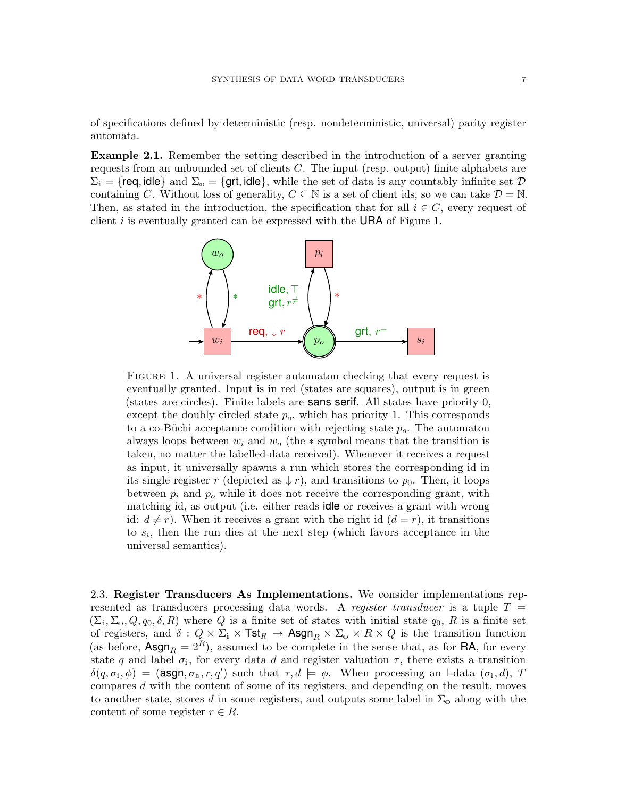of specifications defined by deterministic (resp. nondeterministic, universal) parity register automata.

<span id="page-6-1"></span><span id="page-6-0"></span>Example 2.1. Remember the setting described in the introduction of a server granting requests from an unbounded set of clients C. The input (resp. output) finite alphabets are  $\Sigma_i = \{ \text{req}, \text{idle} \}$  and  $\Sigma_0 = \{ \text{qrt}, \text{idle} \}$ , while the set of data is any countably infinite set  $\mathcal D$ containing C. Without loss of generality,  $C \subseteq \mathbb{N}$  is a set of client ids, so we can take  $\mathcal{D} = \mathbb{N}$ . Then, as stated in the introduction, the specification that for all  $i \in C$ , every request of client  $i$  is eventually granted can be expressed with the **URA** of Figure [1.](#page-6-0)



FIGURE 1. A universal register automaton checking that every request is eventually granted. Input is in red (states are squares), output is in green (states are circles). Finite labels are sans serif. All states have priority 0, except the doubly circled state  $p<sub>o</sub>$ , which has priority 1. This corresponds to a co-Büchi acceptance condition with rejecting state  $p<sub>o</sub>$ . The automaton always loops between  $w_i$  and  $w_o$  (the  $*$  symbol means that the transition is taken, no matter the labelled-data received). Whenever it receives a request as input, it universally spawns a run which stores the corresponding id in its single register r (depicted as  $\downarrow$  r), and transitions to  $p_0$ . Then, it loops between  $p_i$  and  $p_o$  while it does not receive the corresponding grant, with matching id, as output (i.e. either reads idle or receives a grant with wrong id:  $d \neq r$ ). When it receives a grant with the right id  $(d = r)$ , it transitions to  $s_i$ , then the run dies at the next step (which favors acceptance in the universal semantics).

2.3. Register Transducers As Implementations. We consider implementations represented as transducers processing data words. A register transducer is a tuple  $T =$  $(\Sigma_i, \Sigma_o, Q, q_0, \delta, R)$  where Q is a finite set of states with initial state  $q_0, R$  is a finite set of registers, and  $\delta: Q \times \Sigma_i \times \text{Tst}_R \to \text{Asgn}_R \times \Sigma_0 \times R \times Q$  is the transition function (as before,  $\text{Asgn}_R = 2^R$ ), assumed to be complete in the sense that, as for RA, for every state q and label  $\sigma_i$ , for every data d and register valuation  $\tau$ , there exists a transition  $\delta(q, \sigma_i, \phi) = (\text{asgn}, \sigma_{\omega}, r, q')$  such that  $\tau, d \models \phi$ . When processing an I-data  $(\sigma_i, d), T$ compares d with the content of some of its registers, and depending on the result, moves to another state, stores d in some registers, and outputs some label in  $\Sigma_{\text{o}}$  along with the content of some register  $r \in R$ .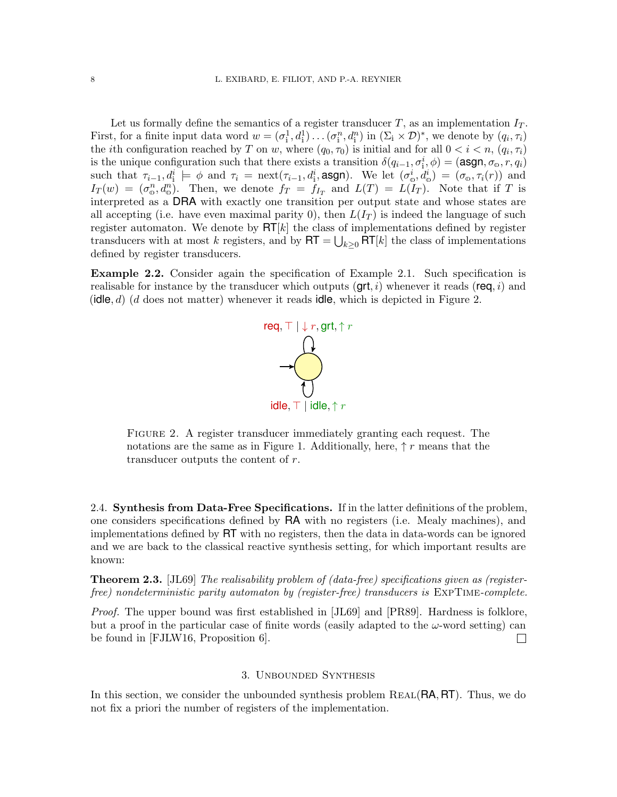Let us formally define the semantics of a register transducer T, as an implementation  $I_T$ . First, for a finite input data word  $w = (\sigma_i^1, d_i^1) \dots (\sigma_i^n, d_i^n)$  in  $(\Sigma_i \times \mathcal{D})^*$ , we denote by  $(q_i, \tau_i)$ the *i*th configuration reached by T on w, where  $(q_0, \tau_0)$  is initial and for all  $0 < i < n$ ,  $(q_i, \tau_i)$ is the unique configuration such that there exists a transition  $\delta(q_{i-1}, \sigma_i^i, \phi) = (\text{asgn}, \sigma_0, r, q_i)$ such that  $\tau_{i-1}, d_i^i \models \phi$  and  $\tau_i = \text{next}(\tau_{i-1}, d_i^i, \text{asgn})$ . We let  $(\sigma_0^i, d_0^i) = (\sigma_0, \tau_i(r))$  and  $I_T(w) = (\sigma_0^n, d_0^n)$ . Then, we denote  $f_T = \overline{f}_{I_T}$  and  $L(T) = L(T_T)$ . Note that if T is interpreted as a DRA with exactly one transition per output state and whose states are all accepting (i.e. have even maximal parity 0), then  $L(I_T)$  is indeed the language of such register automaton. We denote by  $\mathsf{RT}[k]$  the class of implementations defined by register transducers with at most k registers, and by  $\mathsf{RT} = \bigcup_{k \geq 0} \mathsf{RT}[k]$  the class of implementations defined by register transducers.

<span id="page-7-0"></span>Example 2.2. Consider again the specification of Example [2.1.](#page-6-1) Such specification is realisable for instance by the transducer which outputs  $(\text{grt}, i)$  whenever it reads (req, i) and (idle,  $d$ ) (d does not matter) whenever it reads idle, which is depicted in Figure [2.](#page-7-0)



FIGURE 2. A register transducer immediately granting each request. The notations are the same as in Figure [1.](#page-6-0) Additionally, here,  $\uparrow r$  means that the transducer outputs the content of r.

2.4. Synthesis from Data-Free Specifications. If in the latter definitions of the problem, one considers specifications defined by RA with no registers (i.e. Mealy machines), and implementations defined by RT with no registers, then the data in data-words can be ignored and we are back to the classical reactive synthesis setting, for which important results are known:

**Theorem 2.3.** [\[JL69\]](#page-24-1) The realisability problem of (data-free) specifications given as (registerfree) nondeterministic parity automaton by (register-free) transducers is ExpTime-complete.

Proof. The upper bound was first established in [\[JL69\]](#page-24-1) and [\[PR89\]](#page-24-2). Hardness is folklore, but a proof in the particular case of finite words (easily adapted to the  $\omega$ -word setting) can be found in [\[FJLW16,](#page-24-3) Proposition 6].  $\Box$ 

## 3. Unbounded Synthesis

In this section, we consider the unbounded synthesis problem  $REAL(RA, RT)$ . Thus, we do not fix a priori the number of registers of the implementation.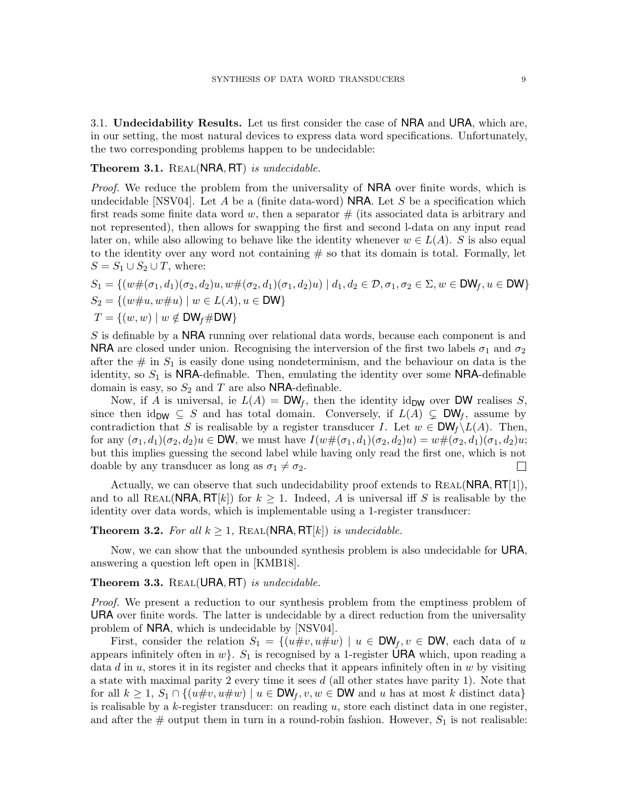3.1. Undecidability Results. Let us first consider the case of NRA and URA, which are, in our setting, the most natural devices to express data word specifications. Unfortunately, the two corresponding problems happen to be undecidable:

### <span id="page-8-1"></span>Theorem 3.1. REAL(NRA, RT) is undecidable.

*Proof.* We reduce the problem from the universality of **NRA** over finite words, which is undecidable [\[NSV04\]](#page-24-11). Let A be a (finite data-word) **NRA**. Let S be a specification which first reads some finite data word w, then a separator  $\#$  (its associated data is arbitrary and not represented), then allows for swapping the first and second l-data on any input read later on, while also allowing to behave like the identity whenever  $w \in L(A)$ . S is also equal to the identity over any word not containing  $#$  so that its domain is total. Formally, let  $S = S_1 \cup S_2 \cup T$ , where:

$$
S_1 = \{ (w \# (\sigma_1, d_1)(\sigma_2, d_2)u, w \# (\sigma_2, d_1)(\sigma_1, d_2)u) \mid d_1, d_2 \in \mathcal{D}, \sigma_1, \sigma_2 \in \Sigma, w \in \text{DW}_f, u \in \text{DW} \}
$$
  
\n
$$
S_2 = \{ (w \# u, w \# u) \mid w \in L(A), u \in \text{DW} \}
$$
  
\n
$$
T = \{ (w, w) \mid w \notin \text{DW}_f \# \text{DW} \}
$$

S is definable by a NRA running over relational data words, because each component is and **NRA** are closed under union. Recognising the interversion of the first two labels  $\sigma_1$  and  $\sigma_2$ after the  $\#$  in  $S_1$  is easily done using nondeterminism, and the behaviour on data is the identity, so  $S_1$  is NRA-definable. Then, emulating the identity over some NRA-definable domain is easy, so  $S_2$  and T are also NRA-definable.

Now, if A is universal, ie  $L(A) = \mathsf{DW}_f$ , then the identity id<sub>DW</sub> over DW realises S, since then id<sub>DW</sub>  $\subseteq$  S and has total domain. Conversely, if  $L(A) \subsetneq \text{DW}_f$ , assume by contradiction that S is realisable by a register transducer I. Let  $w \in \text{DW}_f \setminus L(A)$ . Then, for any  $(\sigma_1, d_1)(\sigma_2, d_2)u \in \mathsf{DW}$ , we must have  $I(w\#(\sigma_1, d_1)(\sigma_2, d_2)u) = w\#(\sigma_2, d_1)(\sigma_1, d_2)u;$ but this implies guessing the second label while having only read the first one, which is not doable by any transducer as long as  $\sigma_1 \neq \sigma_2$ .  $\Box$ 

Actually, we can observe that such undecidability proof extends to  $REAL(NRA, RT[1]),$ and to all REAL(NRA,  $RT[k]$ ) for  $k \geq 1$ . Indeed, A is universal iff S is realisable by the identity over data words, which is implementable using a 1-register transducer:

# <span id="page-8-0"></span>**Theorem 3.2.** For all  $k \geq 1$ , REAL(NRA, RT[k]) is undecidable.

Now, we can show that the unbounded synthesis problem is also undecidable for URA, answering a question left open in [\[KMB18\]](#page-24-6).

# <span id="page-8-2"></span>Theorem 3.3.  $REAL(URA, RT)$  is undecidable.

Proof. We present a reduction to our synthesis problem from the emptiness problem of URA over finite words. The latter is undecidable by a direct reduction from the universality problem of NRA, which is undecidable by [\[NSV04\]](#page-24-11).

First, consider the relation  $S_1 = \{(u \# v, u \# w) \mid u \in \mathsf{DW}_f, v \in \mathsf{DW}, \}$  each data of u appears infinitely often in  $w\}$ .  $S_1$  is recognised by a 1-register URA which, upon reading a data d in u, stores it in its register and checks that it appears infinitely often in  $w$  by visiting a state with maximal parity 2 every time it sees  $d$  (all other states have parity 1). Note that for all  $k \geq 1$ ,  $S_1 \cap \{(u \# v, u \# w) \mid u \in \text{DW}_f, v, w \in \text{DW} \}$  and u has at most k distinct data is realisable by a  $k$ -register transducer: on reading  $u$ , store each distinct data in one register, and after the  $\#$  output them in turn in a round-robin fashion. However,  $S_1$  is not realisable: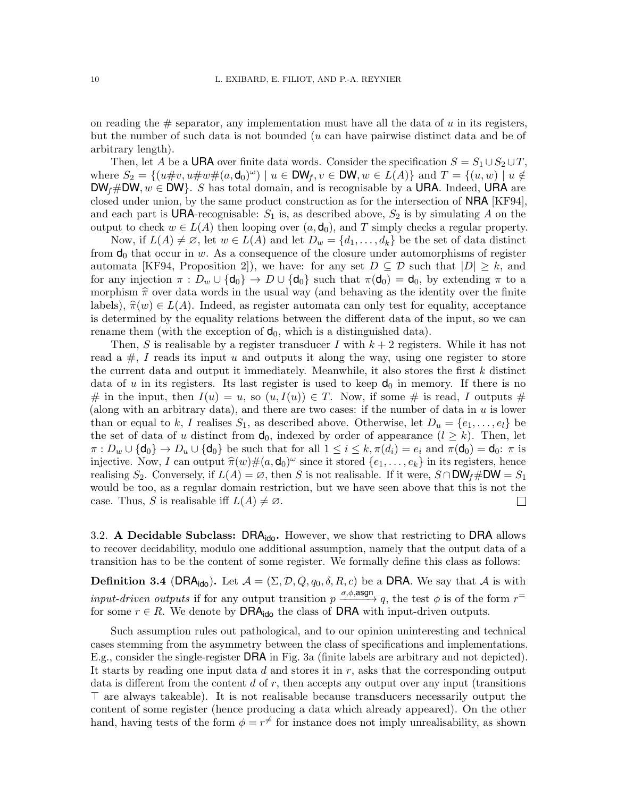on reading the  $\#$  separator, any implementation must have all the data of u in its registers, but the number of such data is not bounded (u can have pairwise distinct data and be of arbitrary length).

Then, let A be a URA over finite data words. Consider the specification  $S = S_1 \cup S_2 \cup T$ , where  $S_2 = \{(u\#v, u\#w\#(a, \mathbf{d}_0)^{\omega}) \mid u \in \mathsf{DW}_f, v \in \mathsf{DW}, w \in L(A)\}\$  and  $T = \{(u, w) \mid u \notin \mathsf{Cov}_f\}$  $DW_f \#DW, w \in DW$ . S has total domain, and is recognisable by a URA. Indeed, URA are closed under union, by the same product construction as for the intersection of NRA [\[KF94\]](#page-24-4), and each part is **URA**-recognisable:  $S_1$  is, as described above,  $S_2$  is by simulating A on the output to check  $w \in L(A)$  then looping over  $(a, d_0)$ , and T simply checks a regular property.

Now, if  $L(A) \neq \emptyset$ , let  $w \in L(A)$  and let  $D_w = \{d_1, \ldots, d_k\}$  be the set of data distinct from  $\mathbf{d}_0$  that occur in w. As a consequence of the closure under automorphisms of register automata [\[KF94,](#page-24-4) Proposition 2]), we have: for any set  $D \subseteq \mathcal{D}$  such that  $|D| \geq k$ , and for any injection  $\pi : D_w \cup \{d_0\} \to D \cup \{d_0\}$  such that  $\pi(d_0) = d_0$ , by extending  $\pi$  to a morphism  $\hat{\pi}$  over data words in the usual way (and behaving as the identity over the finite labels),  $\hat{\pi}(w) \in L(A)$ . Indeed, as register automata can only test for equality, acceptance is determined by the equality relations between the different data of the input, so we can rename them (with the exception of  $d_0$ , which is a distinguished data).

Then, S is realisable by a register transducer I with  $k+2$  registers. While it has not read a  $\#$ , I reads its input u and outputs it along the way, using one register to store the current data and output it immediately. Meanwhile, it also stores the first  $k$  distinct data of u in its registers. Its last register is used to keep  $d_0$  in memory. If there is no # in the input, then  $I(u) = u$ , so  $(u, I(u)) \in T$ . Now, if some # is read, I outputs # (along with an arbitrary data), and there are two cases: if the number of data in u is lower than or equal to k, I realises  $S_1$ , as described above. Otherwise, let  $D_u = \{e_1, \ldots, e_l\}$  be the set of data of u distinct from  $\mathbf{d}_0$ , indexed by order of appearance  $(l \geq k)$ . Then, let  $\pi: D_w \cup \{\mathsf{d}_0\} \to D_u \cup \{\mathsf{d}_0\}$  be such that for all  $1 \leq i \leq k, \pi(d_i) = e_i$  and  $\pi(\mathsf{d}_0) = \mathsf{d}_0$ :  $\pi$  is injective. Now, I can output  $\hat{\pi}(w) \#(a, \mathbf{d}_0)^\omega$  since it stored  $\{e_1, \ldots, e_k\}$  in its registers, hence<br>realising  $S_2$ . Conversely if  $I(A) = \emptyset$ , then  $S$  is not realisable. If it were,  $S \cap \text{DM}_a + \text{DM} = S_a$ . realising  $S_2$ . Conversely, if  $L(A) = \emptyset$ , then S is not realisable. If it were,  $S \cap \text{DW}_f \# \text{DW} = S_1$ would be too, as a regular domain restriction, but we have seen above that this is not the case. Thus, S is realisable iff  $L(A) \neq \emptyset$ .  $\Box$ 

3.2. A Decidable Subclass:  $DRA_{\text{ido}}$ . However, we show that restricting to DRA allows to recover decidability, modulo one additional assumption, namely that the output data of a transition has to be the content of some register. We formally define this class as follows:

**Definition 3.4** (DRA<sub>ido</sub>). Let  $\mathcal{A} = (\Sigma, \mathcal{D}, Q, q_0, \delta, R, c)$  be a DRA. We say that  $\mathcal{A}$  is with *input-driven outputs* if for any output transition  $p \xrightarrow{\sigma,\phi,\text{asgn}} q$ , the test  $\phi$  is of the form  $r^=$ for some  $r \in R$ . We denote by **DRA**<sub>ido</sub> the class of **DRA** with input-driven outputs.

Such assumption rules out pathological, and to our opinion uninteresting and technical cases stemming from the asymmetry between the class of specifications and implementations. E.g., consider the single-register DRA in Fig. [3a](#page-10-0) (finite labels are arbitrary and not depicted). It starts by reading one input data  $d$  and stores it in  $r$ , asks that the corresponding output data is different from the content  $d$  of  $r$ , then accepts any output over any input (transitions  $\top$  are always takeable). It is not realisable because transducers necessarily output the content of some register (hence producing a data which already appeared). On the other hand, having tests of the form  $\phi = r^{\neq}$  for instance does not imply unrealisability, as shown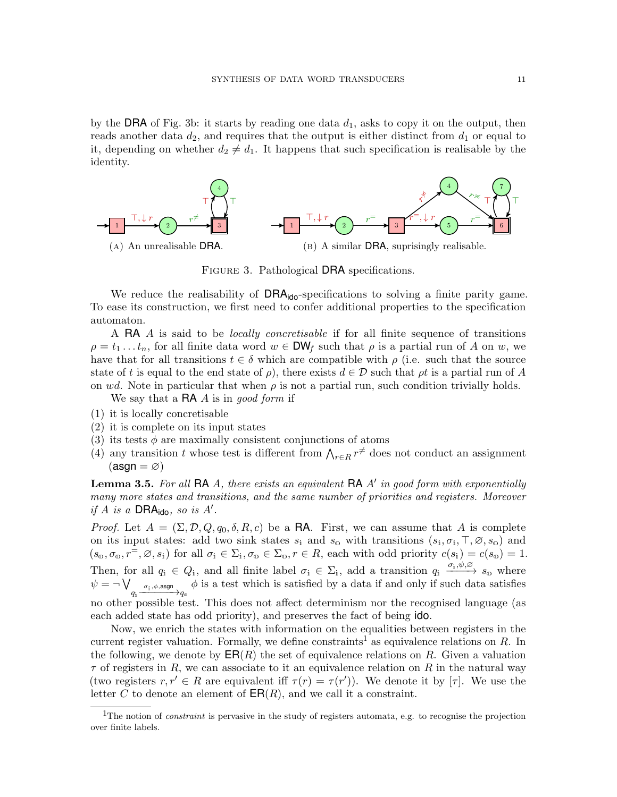by the DRA of Fig. [3b:](#page-10-0) it starts by reading one data  $d_1$ , asks to copy it on the output, then reads another data  $d_2$ , and requires that the output is either distinct from  $d_1$  or equal to it, depending on whether  $d_2 \neq d_1$ . It happens that such specification is realisable by the identity.

<span id="page-10-0"></span>

FIGURE 3. Pathological DRA specifications.

We reduce the realisability of  $DRA_{\text{ido}}$ -specifications to solving a finite parity game. To ease its construction, we first need to confer additional properties to the specification automaton.

A RA A is said to be *locally concretisable* if for all finite sequence of transitions  $\rho = t_1 \dots t_n$ , for all finite data word  $w \in \text{DW}_f$  such that  $\rho$  is a partial run of A on w, we have that for all transitions  $t \in \delta$  which are compatible with  $\rho$  (i.e. such that the source state of t is equal to the end state of  $\rho$ , there exists  $d \in \mathcal{D}$  such that  $\rho t$  is a partial run of A on wd. Note in particular that when  $\rho$  is not a partial run, such condition trivially holds.

We say that a  $\mathsf{RA}$  A is in good form if

- <span id="page-10-4"></span>(1) it is locally concretisable
- <span id="page-10-2"></span>(2) it is complete on its input states
- <span id="page-10-3"></span>(3) its tests  $\phi$  are maximally consistent conjunctions of atoms
- <span id="page-10-5"></span>(4) any transition t whose test is different from  $\bigwedge_{r\in R} r^{\neq}$  does not conduct an assignment  $(\text{asgn} = \varnothing)$

<span id="page-10-6"></span>**Lemma 3.5.** For all RA A, there exists an equivalent RA  $A'$  in good form with exponentially many more states and transitions, and the same number of priorities and registers. Moreover if  $A$  is a DRA<sub>ido</sub>, so is  $A'$ .

*Proof.* Let  $A = (\Sigma, \mathcal{D}, Q, q_0, \delta, R, c)$  be a **RA**. First, we can assume that A is complete on its input states: add two sink states  $s_i$  and  $s_o$  with transitions  $(s_i, \sigma_i, \top, \varnothing, s_o)$  and  $(s_0, \sigma_0, r^{\pm}, \varnothing, s_i)$  for all  $\sigma_i \in \Sigma_i, \sigma_0 \in \Sigma_0, r \in R$ , each with odd priority  $c(s_i) = c(s_0) = 1$ . Then, for all  $q_i \in Q_i$ , and all finite label  $\sigma_i \in \Sigma_i$ , add a transition  $q_i \xrightarrow{\sigma_i, \psi, \varnothing} s_{\varnothing}$  where  $\psi = \neg \bigvee_{q_\texttt{i} \rule{0.3cm}{0.7cm}\mathscr{a}_\texttt{i}, \phi, \mathsf{asgn}} \negthinspace_{q_\texttt{o}}$  $\phi$  is a test which is satisfied by a data if and only if such data satisfies no other possible test. This does not affect determinism nor the recognised language (as each added state has odd priority), and preserves the fact of being ido.

Now, we enrich the states with information on the equalities between registers in the current register valuation. Formally, we define constraints<sup>[1](#page-10-1)</sup> as equivalence relations on R. In the following, we denote by  $\mathsf{ER}(R)$  the set of equivalence relations on R. Given a valuation  $\tau$  of registers in R, we can associate to it an equivalence relation on R in the natural way (two registers  $r, r' \in R$  are equivalent iff  $\tau(r) = \tau(r')$ ). We denote it by  $[\tau]$ . We use the letter C to denote an element of  $\textsf{ER}(R)$ , and we call it a constraint.

<span id="page-10-1"></span><sup>&</sup>lt;sup>1</sup>The notion of *constraint* is pervasive in the study of registers automata, e.g. to recognise the projection over finite labels.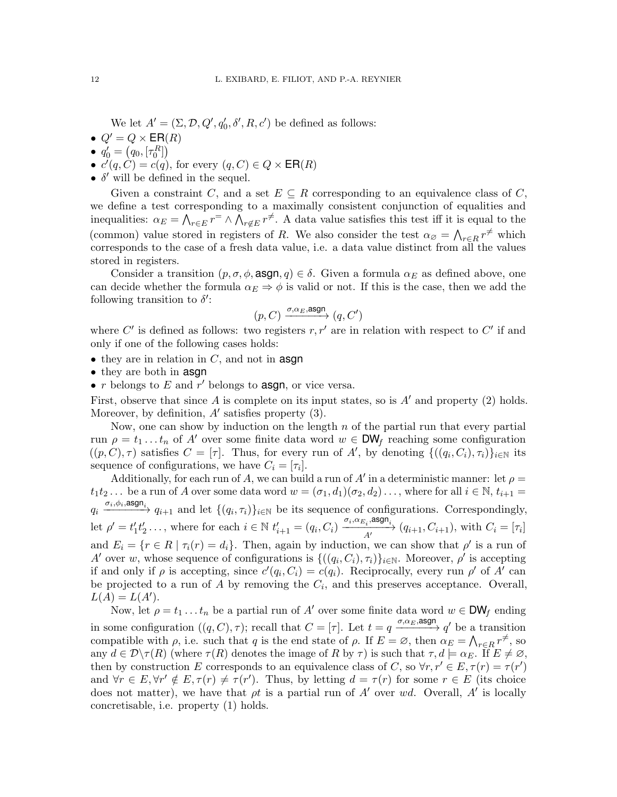We let  $A' = (\Sigma, \mathcal{D}, Q', q'_0, \delta', R, c')$  be defined as follows:

- $Q' = Q \times \mathsf{ER}(R)$
- $q'_0 = (q_0, [\tau_0^R])$
- $c'(q, C) = c(q)$ , for every  $(q, C) \in Q \times \mathsf{ER}(R)$
- $\bullet$   $\delta'$  will be defined in the sequel.

Given a constraint C, and a set  $E \subseteq R$  corresponding to an equivalence class of C, we define a test corresponding to a maximally consistent conjunction of equalities and inequalities:  $\alpha_E = \bigwedge_{r \in E} r^{\pm} \wedge \bigwedge_{r \notin E} r^{\neq}$ . A data value satisfies this test iff it is equal to the (common) value stored in registers of R. We also consider the test  $\alpha_{\emptyset} = \bigwedge_{r \in R} r^{\neq}$  which corresponds to the case of a fresh data value, i.e. a data value distinct from all the values stored in registers.

Consider a transition  $(p, \sigma, \phi, \text{asgn}, q) \in \delta$ . Given a formula  $\alpha_E$  as defined above, one can decide whether the formula  $\alpha_E \Rightarrow \phi$  is valid or not. If this is the case, then we add the following transition to  $\delta'$ :

$$
(p, C) \xrightarrow{\sigma, \alpha_E, \text{asgn}} (q, C')
$$

where  $C'$  is defined as follows: two registers  $r, r'$  are in relation with respect to  $C'$  if and only if one of the following cases holds:

- $\bullet$  they are in relation in C, and not in **asgn**
- they are both in **asgn**
- $r$  belongs to  $E$  and  $r'$  belongs to **asgn**, or vice versa.

First, observe that since A is complete on its input states, so is  $A'$  and property [\(2\)](#page-10-2) holds. Moreover, by definition,  $A'$  satisfies property  $(3)$ .

Now, one can show by induction on the length  $n$  of the partial run that every partial run  $\rho = t_1 \dots t_n$  of A' over some finite data word  $w \in DW_f$  reaching some configuration  $((p, C), \tau)$  satisfies  $C = [\tau]$ . Thus, for every run of A', by denoting  $\{((q_i, C_i), \tau_i)\}_{i \in \mathbb{N}}$  its sequence of configurations, we have  $C_i = [\tau_i]$ .

Additionally, for each run of A, we can build a run of A' in a deterministic manner: let  $\rho =$  $t_1t_2...$  be a run of A over some data word  $w = (\sigma_1, d_1)(\sigma_2, d_2)...$ , where for all  $i \in \mathbb{N}$ ,  $t_{i+1} =$  $q_i \xrightarrow{\sigma_i, \phi_i, \text{asgn}_i} q_{i+1}$  and let  $\{(q_i, \tau_i)\}_{i \in \mathbb{N}}$  be its sequence of configurations. Correspondingly, let  $\rho' = t'_1 t'_2 \dots$ , where for each  $i \in \mathbb{N}$   $t'_{i+1} = (q_i, C_i) \xrightarrow{ \sigma_i, \alpha_{E_i}, \text{asgn}_i } (q_{i+1}, C_{i+1}),$  with  $C_i = [\tau_i]$ and  $E_i = \{r \in R \mid \tau_i(r) = d_i\}.$  Then, again by induction, we can show that  $\rho'$  is a run of A' over w, whose sequence of configurations is  $\{((q_i, C_i), \tau_i)\}_{i \in \mathbb{N}}$ . Moreover,  $\rho'$  is accepting if and only if  $\rho$  is accepting, since  $c'(q_i, C_i) = c(q_i)$ . Reciprocally, every run  $\rho'$  of A' can be projected to a run of  $A$  by removing the  $C_i$ , and this preserves acceptance. Overall,  $L(A) = L(A')$ .

Now, let  $\rho = t_1 \ldots t_n$  be a partial run of A' over some finite data word  $w \in \text{DW}_f$  ending in some configuration  $((q, C), \tau)$ ; recall that  $C = [\tau]$ . Let  $t = q \xrightarrow{\sigma, \alpha_E, \text{asgn}} q'$  be a transition compatible with  $\rho$ , i.e. such that q is the end state of  $\rho$ . If  $E = \emptyset$ , then  $\alpha_E = \bigwedge_{r \in R} r^{\neq}$ , so any  $d \in \mathcal{D}\setminus\tau(R)$  (where  $\tau(R)$  denotes the image of R by  $\tau$ ) is such that  $\tau, d \models \alpha_E$ . If  $E \neq \emptyset$ , then by construction E corresponds to an equivalence class of C, so  $\forall r, r' \in E, \tau(r) = \tau(r')$ and  $\forall r \in E, \forall r' \notin E, \tau(r) \neq \tau(r')$ . Thus, by letting  $d = \tau(r)$  for some  $r \in E$  (its choice does not matter), we have that  $\rho t$  is a partial run of A' over wd. Overall, A' is locally concretisable, i.e. property [\(1\)](#page-10-4) holds.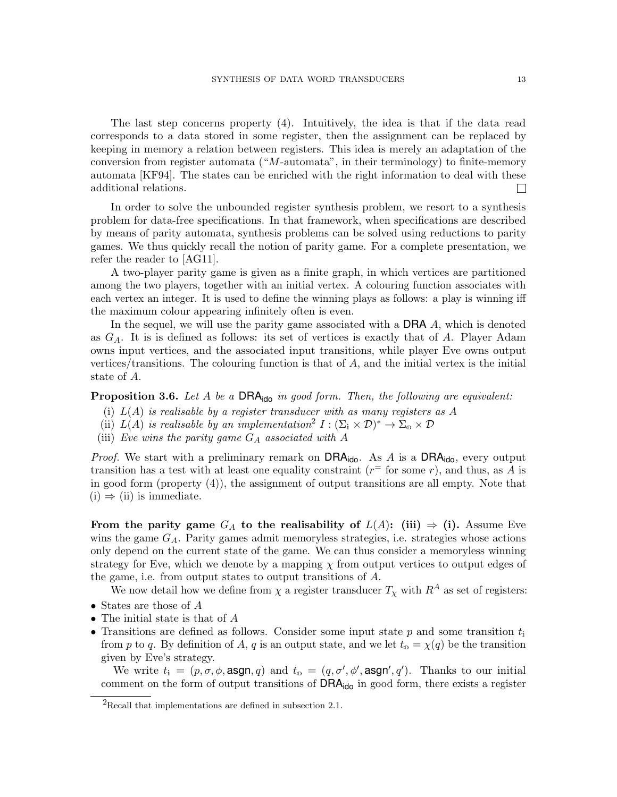The last step concerns property [\(4\)](#page-10-5). Intuitively, the idea is that if the data read corresponds to a data stored in some register, then the assignment can be replaced by keeping in memory a relation between registers. This idea is merely an adaptation of the conversion from register automata  $("M\text{-automata"}]$ , in their terminology) to finite-memory automata [\[KF94\]](#page-24-4). The states can be enriched with the right information to deal with these additional relations.  $\Box$ 

In order to solve the unbounded register synthesis problem, we resort to a synthesis problem for data-free specifications. In that framework, when specifications are described by means of parity automata, synthesis problems can be solved using reductions to parity games. We thus quickly recall the notion of parity game. For a complete presentation, we refer the reader to [\[AG11\]](#page-23-1).

A two-player parity game is given as a finite graph, in which vertices are partitioned among the two players, together with an initial vertex. A colouring function associates with each vertex an integer. It is used to define the winning plays as follows: a play is winning iff the maximum colour appearing infinitely often is even.

In the sequel, we will use the parity game associated with a **DRA** A, which is denoted as  $G_A$ . It is is defined as follows: its set of vertices is exactly that of A. Player Adam owns input vertices, and the associated input transitions, while player Eve owns output vertices/transitions. The colouring function is that of  $A$ , and the initial vertex is the initial state of A.

<span id="page-12-4"></span>**Proposition 3.6.** Let A be a  $DRA_{\text{ido}}$  in good form. Then, the following are equivalent:

- <span id="page-12-1"></span>(i)  $L(A)$  is realisable by a register transducer with as many registers as A
- <span id="page-12-2"></span>(ii)  $L(A)$  is realisable by an implementation<sup>[2](#page-12-0)</sup>  $I : (\Sigma_{i} \times \mathcal{D})^{*} \to \Sigma_{0} \times \mathcal{D}$
- <span id="page-12-3"></span>(iii) Eve wins the parity game  $G_A$  associated with A

*Proof.* We start with a preliminary remark on  $DRA_{\text{ido}}$ . As A is a  $DRA_{\text{ido}}$ , every output transition has a test with at least one equality constraint  $(r^{\pm}$  for some r), and thus, as A is in good form (property (4)), the assignment of output transitions are all empty. Note that  $(i) \Rightarrow (ii)$  $(i) \Rightarrow (ii)$  $(i) \Rightarrow (ii)$  is immediate.

From the parity game  $G_A$  to the realisability of  $L(A)$ : [\(iii\)](#page-12-3)  $\Rightarrow$  [\(i\).](#page-12-1) Assume Eve wins the game  $G_A$ . Parity games admit memoryless strategies, i.e. strategies whose actions only depend on the current state of the game. We can thus consider a memoryless winning strategy for Eve, which we denote by a mapping  $\chi$  from output vertices to output edges of the game, i.e. from output states to output transitions of A.

We now detail how we define from  $\chi$  a register transducer  $T_{\chi}$  with  $R^A$  as set of registers:

- States are those of A
- The initial state is that of A
- Transitions are defined as follows. Consider some input state p and some transition  $t_i$ from p to q. By definition of A, q is an output state, and we let  $t_0 = \chi(q)$  be the transition given by Eve's strategy.

We write  $t_i = (p, \sigma, \phi, \text{asgn}, q)$  and  $t_0 = (q, \sigma', \phi', \text{asgn}', q')$ . Thanks to our initial comment on the form of output transitions of  $DRA_{\text{ido}}$  in good form, there exists a register

<span id="page-12-0"></span> ${}^{2}$ Recall that implementations are defined in [subsection 2.1.](#page-5-0)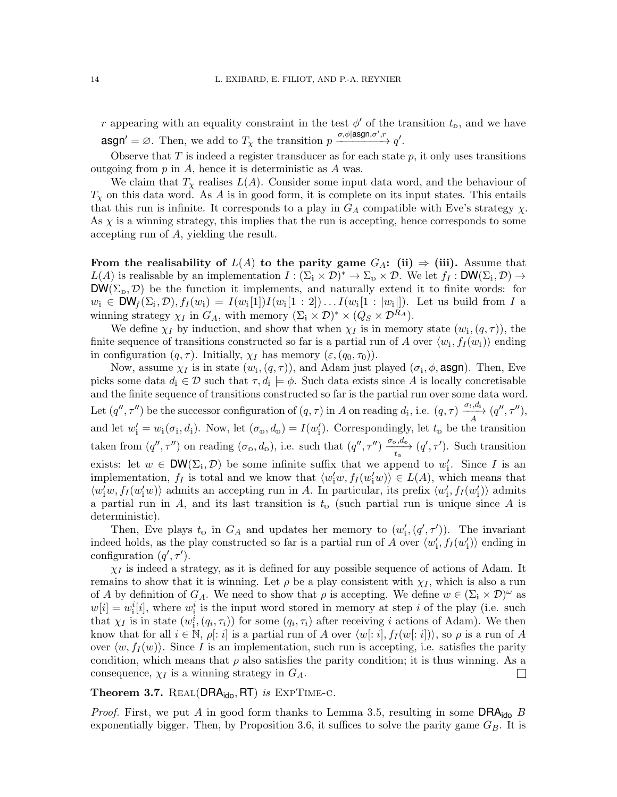r appearing with an equality constraint in the test  $\phi'$  of the transition  $t_0$ , and we have  $\text{asgn'} = \varnothing$ . Then, we add to  $T_{\chi}$  the transition  $p \xrightarrow{\sigma, \phi | \text{asgn}, \sigma', r} q'.$ 

Observe that  $T$  is indeed a register transducer as for each state  $p$ , it only uses transitions outgoing from  $p$  in  $A$ , hence it is deterministic as  $A$  was.

We claim that  $T_\chi$  realises  $L(A)$ . Consider some input data word, and the behaviour of  $T_{\chi}$  on this data word. As A is in good form, it is complete on its input states. This entails that this run is infinite. It corresponds to a play in  $G_A$  compatible with Eve's strategy  $\chi$ . As  $\chi$  is a winning strategy, this implies that the run is accepting, hence corresponds to some accepting run of A, yielding the result.

From the realisability of  $L(A)$  to the parity game  $G_A$ : [\(ii\)](#page-12-2)  $\Rightarrow$  [\(iii\).](#page-12-3) Assume that  $L(A)$  is realisable by an implementation  $I : (\Sigma_i \times \mathcal{D})^* \to \Sigma_{\omega} \times \mathcal{D}$ . We let  $f_I : \mathsf{DW}(\Sigma_i, \mathcal{D}) \to$  $DW(\Sigma_{\phi}, \mathcal{D})$  be the function it implements, and naturally extend it to finite words: for  $w_i \in \text{DW}_f(\Sigma_i, \mathcal{D}), f_I(w_i) = I(w_i[1])I(w_i[1:2])\dots I(w_i[1:|w_i|]).$  Let us build from I a winning strategy  $\chi_I$  in  $G_A$ , with memory  $(\Sigma_i \times \mathcal{D})^* \times (Q_S \times \mathcal{D}^{R_A})$ .

We define  $\chi_I$  by induction, and show that when  $\chi_I$  is in memory state  $(w_i, (q, \tau))$ , the finite sequence of transitions constructed so far is a partial run of A over  $\langle w_i, f_I(w_i) \rangle$  ending in configuration  $(q, \tau)$ . Initially,  $\chi_I$  has memory  $(\varepsilon, (q_0, \tau_0))$ .

Now, assume  $\chi_I$  is in state  $(w_i, (q, \tau))$ , and Adam just played  $(\sigma_i, \phi, \text{asgn})$ . Then, Eve picks some data  $d_i \in \mathcal{D}$  such that  $\tau, d_i \models \phi$ . Such data exists since A is locally concretisable and the finite sequence of transitions constructed so far is the partial run over some data word. Let  $(q'', \tau'')$  be the successor configuration of  $(q, \tau)$  in A on reading  $d_i$ , i.e.  $(q, \tau) \xrightarrow{\sigma_i, d_i} (q'', \tau'')$ , A and let  $w'_i = w_i(\sigma_i, d_i)$ . Now, let  $(\sigma_0, d_0) = I(w'_i)$ . Correspondingly, let  $t_0$  be the transition taken from  $(q'', \tau'')$  on reading  $(\sigma_{\phi}, d_{\phi})$ , i.e. such that  $(q'', \tau'') \xrightarrow{\sigma_{\phi}, d_{\phi}} (q', \tau')$ . Such transition exists: let  $w \in \text{DW}(\Sigma_i, \mathcal{D})$  be some infinite suffix that we append to  $w'_i$ . Since I is an implementation,  $f_I$  is total and we know that  $\langle w'_i w, f_I(w'_i w) \rangle \in L(A)$ , which means that  $\langle w'_i w, f_I(w'_i w) \rangle$  admits an accepting run in A. In particular, its prefix  $\langle w'_i, f_I(w'_i) \rangle$  admits a partial run in A, and its last transition is  $t_0$  (such partial run is unique since A is deterministic).

Then, Eve plays  $t_0$  in  $G_A$  and updates her memory to  $(w'_{i}, (q', \tau'))$ . The invariant indeed holds, as the play constructed so far is a partial run of A over  $\langle w'_{i}, f_{I}(w'_{i})\rangle$  ending in configuration  $(q', \tau')$ .

 $\chi_I$  is indeed a strategy, as it is defined for any possible sequence of actions of Adam. It remains to show that it is winning. Let  $\rho$  be a play consistent with  $\chi_I$ , which is also a run of A by definition of  $G_A$ . We need to show that  $\rho$  is accepting. We define  $w \in (\Sigma_i \times \mathcal{D})^{\omega}$  as  $w[i] = w_i^i[i]$ , where  $w_i^i$  is the input word stored in memory at step i of the play (i.e. such that  $\chi_I$  is in state  $(w_1^i, (q_i, \tau_i))$  for some  $(q_i, \tau_i)$  after receiving i actions of Adam). We then know that for all  $i \in \mathbb{N}$ ,  $\rho: i$  is a partial run of A over  $\langle w[: i], f_I (w[: i]) \rangle$ , so  $\rho$  is a run of A over  $\langle w, f_I (w) \rangle$ . Since I is an implementation, such run is accepting, i.e. satisfies the parity condition, which means that  $\rho$  also satisfies the parity condition; it is thus winning. As a consequence,  $\chi_I$  is a winning strategy in  $G_A$ .  $\Box$ 

<span id="page-13-0"></span>**Theorem 3.7.** REAL(DRA $_{\text{ido}}$ , RT) is EXPTIME-C.

*Proof.* First, we put A in good form thanks to Lemma [3.5,](#page-10-6) resulting in some  $DRA_{\text{ido}}$  B exponentially bigger. Then, by Proposition [3.6,](#page-12-4) it suffices to solve the parity game  $G_B$ . It is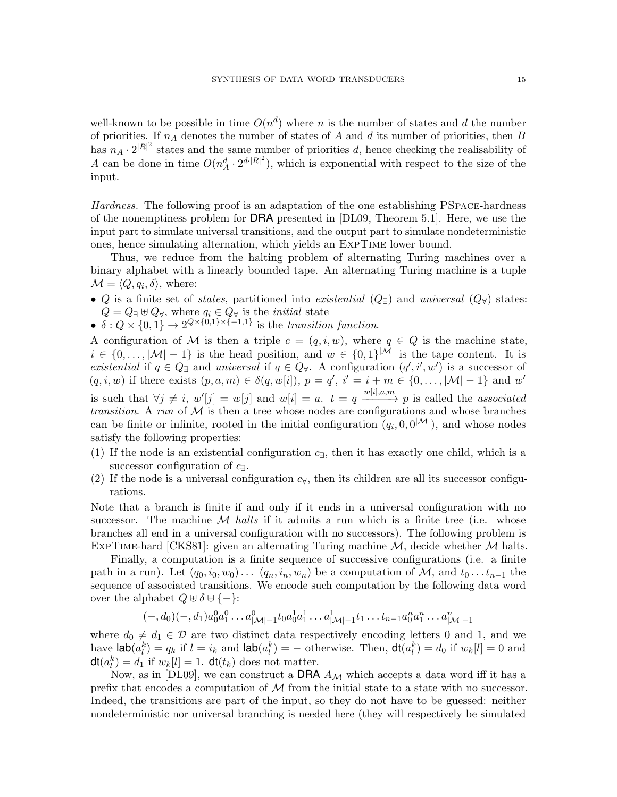well-known to be possible in time  $O(n^d)$  where n is the number of states and d the number of priorities. If  $n_A$  denotes the number of states of A and d its number of priorities, then B has  $n_A \cdot 2^{|R|^2}$  states and the same number of priorities d, hence checking the realisability of A can be done in time  $O(n_A^d \cdot 2^{d \cdot |R|^2})$ , which is exponential with respect to the size of the input.

Hardness. The following proof is an adaptation of the one establishing PSpace-hardness of the nonemptiness problem for DRA presented in [\[DL09,](#page-24-12) Theorem 5.1]. Here, we use the input part to simulate universal transitions, and the output part to simulate nondeterministic ones, hence simulating alternation, which yields an ExpTime lower bound.

Thus, we reduce from the halting problem of alternating Turing machines over a binary alphabet with a linearly bounded tape. An alternating Turing machine is a tuple  $\mathcal{M} = \langle Q, q_i, \delta \rangle$ , where:

- Q is a finite set of *states*, partitioned into *existential*  $(Q_{\exists})$  and *universal*  $(Q_{\forall})$  states:  $Q = Q_{\exists} \oplus Q_{\forall}$ , where  $q_i \in Q_{\forall}$  is the *initial* state
- $\delta: Q \times \{0,1\} \to 2^{Q \times \{0,1\} \times \{-1,1\}}$  is the transition function.

A configuration of M is then a triple  $c = (q, i, w)$ , where  $q \in Q$  is the machine state,  $i \in \{0, \ldots, |\mathcal{M}|-1\}$  is the head position, and  $w \in \{0,1\}^{|\mathcal{M}|}$  is the tape content. It is existential if  $q \in Q_{\exists}$  and universal if  $q \in Q_{\forall}$ . A configuration  $(q', i', w')$  is a successor of  $(q, i, w)$  if there exists  $(p, a, m) \in \delta(q, w[i]), p = q', i' = i + m \in \{0, \ldots, |\mathcal{M}|-1\}$  and w' is such that  $\forall j \neq i$ ,  $w'[j] = w[j]$  and  $w[i] = a$ .  $t = q \xrightarrow{w[i], a, m} p$  is called the *associated* transition. A run of  $M$  is then a tree whose nodes are configurations and whose branches can be finite or infinite, rooted in the initial configuration  $(q_i, 0, 0^{|{\mathcal{M}}|})$ , and whose nodes satisfy the following properties:

- (1) If the node is an existential configuration  $c_{\exists}$ , then it has exactly one child, which is a successor configuration of  $c_{\exists}$ .
- (2) If the node is a universal configuration  $c<sub>\forall</sub>$ , then its children are all its successor configurations.

Note that a branch is finite if and only if it ends in a universal configuration with no successor. The machine  $\mathcal M$  halts if it admits a run which is a finite tree (i.e. whose branches all end in a universal configuration with no successors). The following problem is EXPTIME-hard [\[CKS81\]](#page-24-13): given an alternating Turing machine  $M$ , decide whether  $M$  halts.

Finally, a computation is a finite sequence of successive configurations (i.e. a finite path in a run). Let  $(q_0, i_0, w_0) \dots (q_n, i_n, w_n)$  be a computation of M, and  $t_0 \dots t_{n-1}$  the sequence of associated transitions. We encode such computation by the following data word over the alphabet  $Q \oplus \delta \oplus \{-\}.$ 

$$
(-,d_0)(-,d_1)a_0^0a_1^0 \dots a_{|\mathcal{M}|-1}^0 t_0a_0^1a_1^1 \dots a_{|\mathcal{M}|-1}^1 t_1 \dots t_{n-1}a_0^n a_1^n \dots a_{|\mathcal{M}|-1}^n
$$

where  $d_0 \neq d_1 \in \mathcal{D}$  are two distinct data respectively encoding letters 0 and 1, and we have  $\textsf{lab}(a_l^k) = q_k$  if  $l = i_k$  and  $\textsf{lab}(a_l^k) = -$  otherwise. Then,  $\textsf{dt}(a_l^k) = d_0$  if  $w_k[l] = 0$  and  $\mathsf{dt}(a_l^k) = d_1$  if  $w_k[l] = 1$ .  $\mathsf{dt}(t_k)$  does not matter.

Now, as in [\[DL09\]](#page-24-12), we can construct a DRA  $A_{\mathcal{M}}$  which accepts a data word iff it has a prefix that encodes a computation of  $M$  from the initial state to a state with no successor. Indeed, the transitions are part of the input, so they do not have to be guessed: neither nondeterministic nor universal branching is needed here (they will respectively be simulated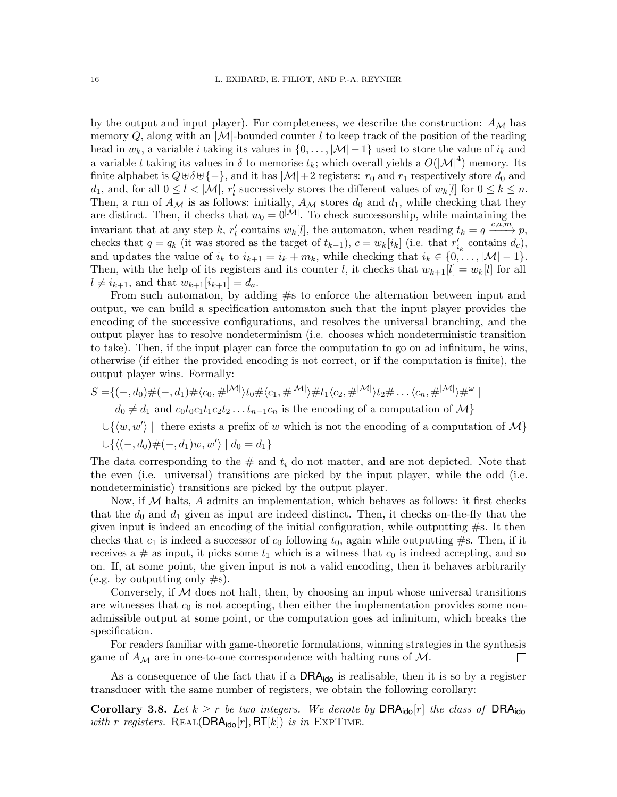by the output and input player). For completeness, we describe the construction:  $A_{\mathcal{M}}$  has memory Q, along with an  $|M|$ -bounded counter l to keep track of the position of the reading head in  $w_k$ , a variable *i* taking its values in  $\{0, \ldots, |\mathcal{M}|-1\}$  used to store the value of  $i_k$  and a variable t taking its values in  $\delta$  to memorise  $t_k$ ; which overall yields a  $O(|\mathcal{M}|^4)$  memory. Its finite alphabet is  $Q \oplus \delta \oplus \{-\}$ , and it has  $|\mathcal{M}| + 2$  registers:  $r_0$  and  $r_1$  respectively store  $d_0$  and  $d_1$ , and, for all  $0 \leq l < |\mathcal{M}|$ ,  $r'_l$  successively stores the different values of  $w_k[l]$  for  $0 \leq k \leq n$ . Then, a run of  $A_{\mathcal{M}}$  is as follows: initially,  $A_{\mathcal{M}}$  stores  $d_0$  and  $d_1$ , while checking that they are distinct. Then, it checks that  $w_0 = 0^{|\mathcal{M}|}$ . To check successorship, while maintaining the invariant that at any step k,  $r'_l$  contains  $w_k[l]$ , the automaton, when reading  $t_k = q \xrightarrow{c,a,m} p$ , checks that  $q = q_k$  (it was stored as the target of  $t_{k-1}$ ),  $c = w_k[i_k]$  (i.e. that  $r'_{i_k}$  contains  $d_c$ ), and updates the value of  $i_k$  to  $i_{k+1} = i_k + m_k$ , while checking that  $i_k \in \{0, ..., |\mathcal{M}|-1\}$ . Then, with the help of its registers and its counter l, it checks that  $w_{k+1}[l] = w_k[l]$  for all  $l \neq i_{k+1}$ , and that  $w_{k+1}[i_{k+1}] = d_a$ .

From such automaton, by adding #s to enforce the alternation between input and output, we can build a specification automaton such that the input player provides the encoding of the successive configurations, and resolves the universal branching, and the output player has to resolve nondeterminism (i.e. chooses which nondeterministic transition to take). Then, if the input player can force the computation to go on ad infinitum, he wins, otherwise (if either the provided encoding is not correct, or if the computation is finite), the output player wins. Formally:

$$
S = \{(-,d_0) \#(-,d_1) \# \langle c_0, \#^{|\mathcal{M}|} \rangle t_0 \# \langle c_1, \#^{|\mathcal{M}|} \rangle \# t_1 \langle c_2, \#^{|\mathcal{M}|} \rangle t_2 \# \dots \langle c_n, \#^{|\mathcal{M}|} \rangle \#^{\omega} \mid
$$

 $d_0 \neq d_1$  and  $c_0t_0c_1t_1c_2t_2 \ldots t_{n-1}c_n$  is the encoding of a computation of  $\mathcal{M}\}\$ 

 $\cup \{ \langle w, w' \rangle \mid$  there exists a prefix of w which is not the encoding of a computation of M}  $\cup \{ \langle (-, d_0) \# (-, d_1) w, w' \rangle \mid d_0 = d_1 \}$ 

The data corresponding to the  $\#$  and  $t_i$  do not matter, and are not depicted. Note that the even (i.e. universal) transitions are picked by the input player, while the odd (i.e. nondeterministic) transitions are picked by the output player.

Now, if  $M$  halts,  $A$  admits an implementation, which behaves as follows: it first checks that the  $d_0$  and  $d_1$  given as input are indeed distinct. Then, it checks on-the-fly that the given input is indeed an encoding of the initial configuration, while outputting  $\#s$ . It then checks that  $c_1$  is indeed a successor of  $c_0$  following  $t_0$ , again while outputting #s. Then, if it receives a  $\#$  as input, it picks some  $t_1$  which is a witness that  $c_0$  is indeed accepting, and so on. If, at some point, the given input is not a valid encoding, then it behaves arbitrarily (e.g. by outputting only  $\#s$ ).

Conversely, if  $M$  does not halt, then, by choosing an input whose universal transitions are witnesses that  $c_0$  is not accepting, then either the implementation provides some nonadmissible output at some point, or the computation goes ad infinitum, which breaks the specification.

For readers familiar with game-theoretic formulations, winning strategies in the synthesis game of  $A_{\mathcal{M}}$  are in one-to-one correspondence with halting runs of  $\mathcal{M}$ .  $\Box$ 

As a consequence of the fact that if a  $\text{DRA}_{\text{ido}}$  is realisable, then it is so by a register transducer with the same number of registers, we obtain the following corollary:

<span id="page-15-0"></span>Corollary 3.8. Let  $k \geq r$  be two integers. We denote by DRA<sub>ido</sub> $[r]$  the class of DRA<sub>ido</sub> with r registers. REAL(DRA<sub>ido</sub>[r], RT[k]) is in EXPTIME.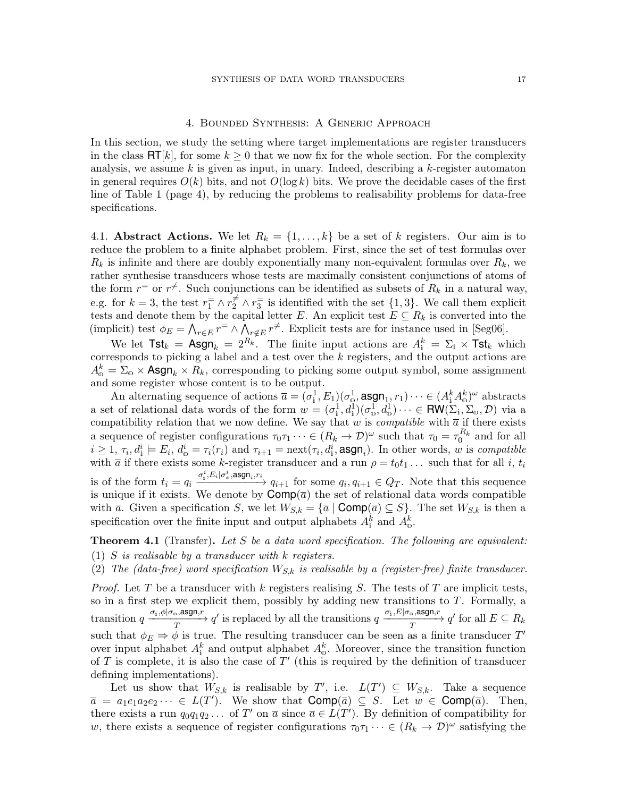### 4. Bounded Synthesis: A Generic Approach

In this section, we study the setting where target implementations are register transducers in the class  $\mathsf{RT}[k]$ , for some  $k \geq 0$  that we now fix for the whole section. For the complexity analysis, we assume  $k$  is given as input, in unary. Indeed, describing a  $k$ -register automaton in general requires  $O(k)$  bits, and not  $O(\log k)$  bits. We prove the decidable cases of the first line of Table [1](#page-3-0) (page [4\)](#page-3-0), by reducing the problems to realisability problems for data-free specifications.

4.1. **Abstract Actions.** We let  $R_k = \{1, ..., k\}$  be a set of k registers. Our aim is to reduce the problem to a finite alphabet problem. First, since the set of test formulas over  $R_k$  is infinite and there are doubly exponentially many non-equivalent formulas over  $R_k$ , we rather synthesise transducers whose tests are maximally consistent conjunctions of atoms of the form  $r^=$  or  $r^{\neq}$ . Such conjunctions can be identified as subsets of  $R_k$  in a natural way, e.g. for  $k = 3$ , the test  $r_1 = \wedge r_2 \neq \wedge r_3$  is identified with the set  $\{1,3\}$ . We call them explicit tests and denote them by the capital letter E. An explicit test  $E \subseteq R_k$  is converted into the (implicit) test  $\phi_E = \bigwedge_{r \in E} r^{\pm} \wedge \bigwedge_{r \notin E} r^{\neq}$ . Explicit tests are for instance used in [\[Seg06\]](#page-24-5).

We let  $\textsf{Tst}_k = \textsf{Asgn}_k = 2^{R_k}$ . The finite input actions are  $A^k_i = \Sigma_i \times \textsf{Tst}_k$  which corresponds to picking a label and a test over the k registers, and the output actions are  $A_{\circ}^{k} = \Sigma_{\circ} \times \text{Asgn}_{k} \times R_{k}$ , corresponding to picking some output symbol, some assignment and some register whose content is to be output.

An alternating sequence of actions  $\overline{a} = (\sigma_i^1, E_1)(\sigma_0^1, \text{asgn}_1, r_1) \cdots \in (A_i^k A_{\omega}^k)^{\omega}$  abstracts a set of relational data words of the form  $w = (\sigma_i^1, d_i^1)(\sigma_0^1, d_0^1) \cdots \in \text{RW}(\Sigma_i, \Sigma_o, \mathcal{D})$  via a compatibility relation that we now define. We say that w is *compatible* with  $\bar{a}$  if there exists a sequence of register configurations  $\tau_0\tau_1\cdots\in (R_k\to\mathcal{D})^\omega$  such that  $\tau_0=\tau_0^{R_k}$  and for all  $i \geq 1$ ,  $\tau_i, d_i^i \models E_i, d_o^i = \tau_i(r_i)$  and  $\tau_{i+1} = \text{next}(\tau_i, d_i^i, \text{asgn}_i)$ . In other words, w is compatible with  $\bar{a}$  if there exists some k-register transducer and a run  $\rho = t_0 t_1 \dots$  such that for all i,  $t_i$ is of the form  $t_i = q_i \xrightarrow{\sigma_i^i, E_i | \sigma_v^i, \text{asgn}_i, r_i} q_{i+1}$  for some  $q_i, q_{i+1} \in Q_T$ . Note that this sequence is unique if it exists. We denote by  $\text{Comp}(\overline{a})$  the set of relational data words compatible with  $\overline{a}$ . Given a specification S, we let  $W_{S,k} = {\overline{a} \mid \text{Comp}(\overline{a}) \subseteq S}$ . The set  $W_{S,k}$  is then a specification over the finite input and output alphabets  $A_{\text{i}}^k$  and  $A_{\text{o}}^k$ .

<span id="page-16-0"></span>**Theorem 4.1** (Transfer). Let S be a data word specification. The following are equivalent: (1) S is realisable by a transducer with  $k$  registers.

(2) The (data-free) word specification  $W_{S,k}$  is realisable by a (register-free) finite transducer.

*Proof.* Let T be a transducer with  $k$  registers realising  $S$ . The tests of T are implicit tests, so in a first step we explicit them, possibly by adding new transitions to  $T$ . Formally, a transition  $q \xrightarrow[T]{\sigma_i, \phi | \sigma_o, \text{asgn}, r} q'$  is replaced by all the transitions  $q \xrightarrow[T]{\sigma_i, E | \sigma_o, \text{asgn}, r} q'$  for all  $E \subseteq R_k$ such that  $\phi_E \Rightarrow \phi$  is true. The resulting transducer can be seen as a finite transducer T' over input alphabet  $A_{\mathbf{i}}^k$  and output alphabet  $A_{\mathbf{0}}^k$ . Moreover, since the transition function of T is complete, it is also the case of  $T'$  (this is required by the definition of transducer defining implementations).

Let us show that  $W_{S,k}$  is realisable by T', i.e.  $L(T') \subseteq W_{S,k}$ . Take a sequence  $\overline{a} = a_1 e_1 a_2 e_2 \cdots \in L(T')$ . We show that  $\textsf{Comp}(\overline{a}) \subseteq S$ . Let  $w \in \textsf{Comp}(\overline{a})$ . Then, there exists a run  $q_0q_1q_2 \ldots$  of T' on  $\overline{a}$  since  $\overline{a} \in L(T')$ . By definition of compatibility for w, there exists a sequence of register configurations  $\tau_0\tau_1\cdots\in (R_k\to \mathcal{D})^\omega$  satisfying the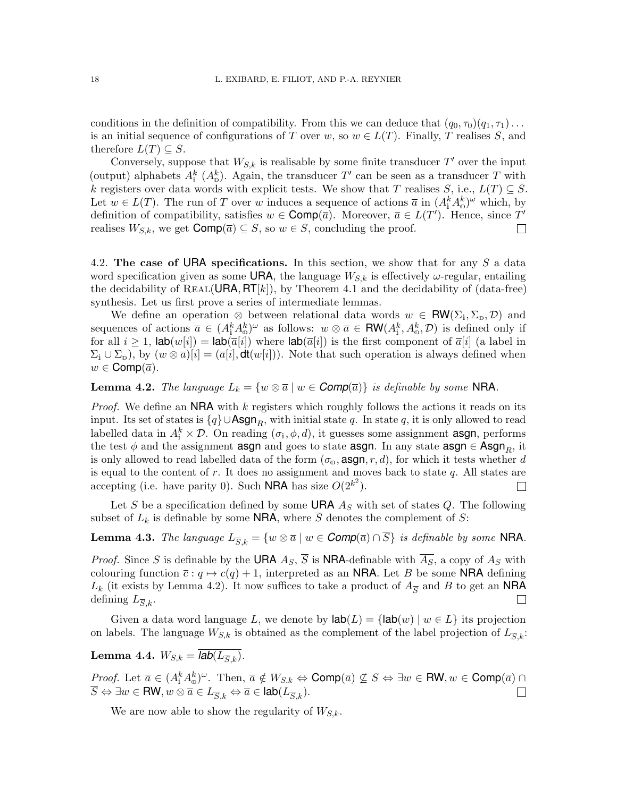conditions in the definition of compatibility. From this we can deduce that  $(q_0, \tau_0)(q_1, \tau_1) \dots$ is an initial sequence of configurations of T over w, so  $w \in L(T)$ . Finally, T realises S, and therefore  $L(T) \subseteq S$ .

Conversely, suppose that  $W_{S,k}$  is realisable by some finite transducer  $T'$  over the input (output) alphabets  $A_i^k(A_o^k)$ . Again, the transducer T' can be seen as a transducer T with k registers over data words with explicit tests. We show that T realises S, i.e.,  $L(T) \subseteq S$ . Let  $w \in L(T)$ . The run of T over w induces a sequence of actions  $\bar{a}$  in  $(A_i^k A_{\omega}^k)^{\omega}$  which, by definition of compatibility, satisfies  $w \in \text{Comp}(\overline{a})$ . Moreover,  $\overline{a} \in L(T')$ . Hence, since T' realises  $W_{S,k}$ , we get  $\text{Comp}(\overline{a}) \subseteq S$ , so  $w \in S$ , concluding the proof.  $\Box$ 

4.2. The case of URA specifications. In this section, we show that for any  $S$  a data word specification given as some URA, the language  $W_{S,k}$  is effectively  $\omega$ -regular, entailing the decidability of REAL(URA,  $\mathsf{RT}[k]$ ), by Theorem [4.1](#page-16-0) and the decidability of (data-free) synthesis. Let us first prove a series of intermediate lemmas.

We define an operation  $\otimes$  between relational data words  $w \in \text{RW}(\Sigma_i, \Sigma_o, \mathcal{D})$  and sequences of actions  $\overline{a} \in (A_{i}^{k}A_{\omega}^{k})^{\omega}$  as follows:  $w \otimes \overline{a} \in \mathsf{RW}(A_{i}^{k}, A_{\omega}^{k}, \mathcal{D})$  is defined only if for all  $i \geq 1$ ,  $\textsf{lab}(w[i]) = \textsf{lab}(\overline{a}[i])$  where  $\textsf{lab}(\overline{a}[i])$  is the first component of  $\overline{a}[i]$  (a label in  $\Sigma_i \cup \Sigma_0$ ), by  $(w \otimes \overline{a})[i] = (\overline{a}[i], \text{dt}(w[i]))$ . Note that such operation is always defined when  $w \in \text{Comp}(\overline{a})$ .

<span id="page-17-0"></span>**Lemma 4.2.** The language  $L_k = \{w \otimes \overline{a} \mid w \in \text{Comp}(\overline{a})\}$  is definable by some NRA.

*Proof.* We define an  $NRA$  with k registers which roughly follows the actions it reads on its input. Its set of states is  $\{q\} \cup \mathsf{Asgn}_R$ , with initial state q. In state q, it is only allowed to read labelled data in  $A_i^k \times \mathcal{D}$ . On reading  $(\sigma_i, \phi, d)$ , it guesses some assignment **asgn**, performs the test  $\phi$  and the assignment asgn and goes to state asgn. In any state asgn  $\in$  Asgn<sub>R</sub>, it is only allowed to read labelled data of the form  $(\sigma_{\varphi}, \text{asgn}, r, d)$ , for which it tests whether d is equal to the content of  $r$ . It does no assignment and moves back to state  $q$ . All states are accepting (i.e. have parity 0). Such **NRA** has size  $O(2^{k^2})$ .  $\Box$ 

Let S be a specification defined by some **URA**  $A<sub>S</sub>$  with set of states Q. The following subset of  $L_k$  is definable by some **NRA**, where S denotes the complement of S:

**Lemma 4.3.** The language  $L_{\overline{S},k} = \{w \otimes \overline{a} \mid w \in \text{Comp}(\overline{a}) \cap \overline{S}\}$  is definable by some NRA.

*Proof.* Since S is definable by the URA  $A_S$ ,  $\overline{S}$  is NRA-definable with  $\overline{A_S}$ , a copy of  $A_S$  with colouring function  $\bar{c}$  :  $q \mapsto c(q) + 1$ , interpreted as an **NRA**. Let B be some **NRA** defining  $L_k$  (it exists by Lemma [4.2\)](#page-17-0). It now suffices to take a product of  $A_{\overline{S}}$  and B to get an NRA defining  $L_{\overline{S},k}$ .  $\Box$ 

Given a data word language L, we denote by  $\text{lab}(L) = \{\text{lab}(w) \mid w \in L\}$  its projection on labels. The language  $W_{S,k}$  is obtained as the complement of the label projection of  $L_{\overline{S},k}$ :

<span id="page-17-1"></span>Lemma 4.4.  $W_{S,k} = \overline{lab(L_{S,k})}$ .

*Proof.* Let  $\overline{a} \in (A_{i}^{k}A_{\omega}^{k})^{\omega}$ . Then,  $\overline{a} \notin W_{S,k} \Leftrightarrow \text{Comp}(\overline{a}) \nsubseteq S \Leftrightarrow \exists w \in \text{RW}, w \in \text{Comp}(\overline{a}) \cap \overline{a}$  $\overline{S} \Leftrightarrow \exists w \in \text{RW}, w \otimes \overline{a} \in L_{\overline{S},k} \Leftrightarrow \overline{a} \in \text{lab}(L_{\overline{S},k}).$  $\Box$ 

We are now able to show the regularity of  $W_{S,k}$ .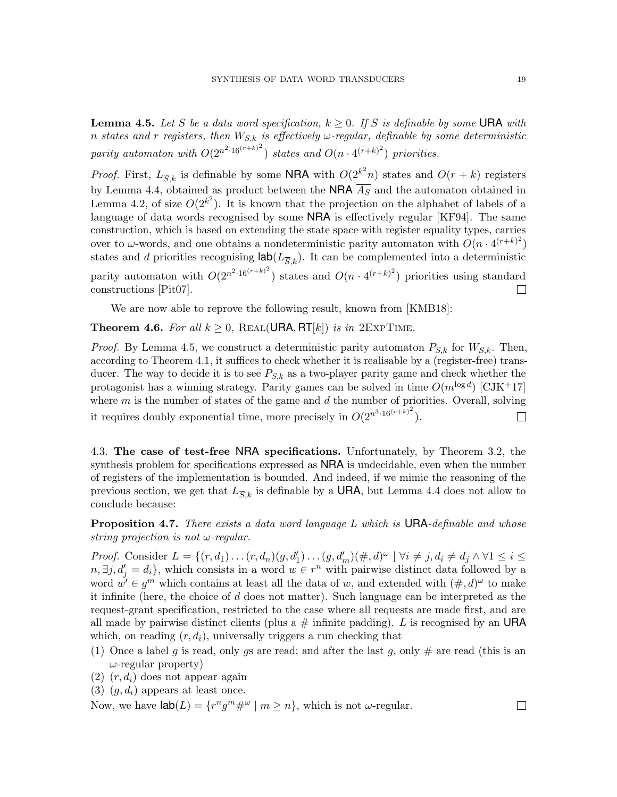<span id="page-18-1"></span>**Lemma 4.5.** Let S be a data word specification,  $k \geq 0$ . If S is definable by some URA with n states and r registers, then  $W_{S,k}$  is effectively  $\omega$ -regular, definable by some deterministic parity automaton with  $O(2^{n^2 \cdot 16(r+k)^2})$  states and  $O(n \cdot 4^{(r+k)^2})$  priorities.

*Proof.* First,  $L_{\overline{S},k}$  is definable by some **NRA** with  $O(2^{k^2}n)$  states and  $O(r+k)$  registers by Lemma [4.4,](#page-17-1) obtained as product between the NRA  $\overline{A_S}$  and the automaton obtained in Lemma [4.2,](#page-17-0) of size  $O(2^{k^2})$ . It is known that the projection on the alphabet of labels of a language of data words recognised by some **NRA** is effectively regular [\[KF94\]](#page-24-4). The same construction, which is based on extending the state space with register equality types, carries over to  $\omega$ -words, and one obtains a nondeterministic parity automaton with  $O(n \cdot 4^{(r+k)^2})$ states and d priorities recognising  $\textsf{lab}(L_{\overline{S},k})$ . It can be complemented into a deterministic parity automaton with  $O(2^{n^2 \cdot 16(r+k)^2})$  states and  $O(n \cdot 4^{(r+k)^2})$  priorities using standard constructions [\[Pit07\]](#page-24-14).

We are now able to reprove the following result, known from [\[KMB18\]](#page-24-6):

<span id="page-18-0"></span>**Theorem 4.6.** For all  $k \geq 0$ , REAL(URA, RT[k]) is in 2EXPTIME.

*Proof.* By Lemma [4.5,](#page-18-1) we construct a deterministic parity automaton  $P_{S,k}$  for  $W_{S,k}$ . Then, according to Theorem [4.1,](#page-16-0) it suffices to check whether it is realisable by a (register-free) transducer. The way to decide it is to see  $P_{S,k}$  as a two-player parity game and check whether the protagonist has a winning strategy. Parity games can be solved in time  $O(m^{\log d})$  [\[CJK](#page-23-2)+17] where  $m$  is the number of states of the game and  $d$  the number of priorities. Overall, solving it requires doubly exponential time, more precisely in  $O(2^{n^3 \cdot 16(r+k)^2})$ .  $\Box$ 

4.3. The case of test-free NRA specifications. Unfortunately, by Theorem [3.2,](#page-8-0) the synthesis problem for specifications expressed as **NRA** is undecidable, even when the number of registers of the implementation is bounded. And indeed, if we mimic the reasoning of the previous section, we get that  $L_{\overline{S},k}$  is definable by a **URA**, but Lemma [4.4](#page-17-1) does not allow to conclude because:

**Proposition 4.7.** There exists a data word language L which is  $\mathsf{URA}\text{-}definable$  and whose string projection is not  $\omega$ -regular.

*Proof.* Consider  $L = \{(r, d_1) \dots (r, d_n)(g, d'_1) \dots (g, d'_m) (\#, d)^{\omega} \mid \forall i \neq j, d_i \neq d_j \land \forall 1 \leq i \leq j \}$  $n, \exists j, d'_j = d_i$ , which consists in a word  $w \in r^n$  with pairwise distinct data followed by a word  $w' \in g^m$  which contains at least all the data of w, and extended with  $(\#, d)^\omega$  to make it infinite (here, the choice of  $d$  does not matter). Such language can be interpreted as the request-grant specification, restricted to the case where all requests are made first, and are all made by pairwise distinct clients (plus a  $\#$  infinite padding). L is recognised by an URA which, on reading  $(r, d_i)$ , universally triggers a run checking that

- (1) Once a label g is read, only gs are read; and after the last g, only  $\#$  are read (this is an  $\omega$ -regular property)
- $(2)$   $(r, d_i)$  does not appear again
- (3)  $(g, d_i)$  appears at least once.

Now, we have  $\textsf{lab}(L) = \{r^n g^m \#^{\omega} \mid m \geq n\}$ , which is not  $\omega$ -regular.

 $\Box$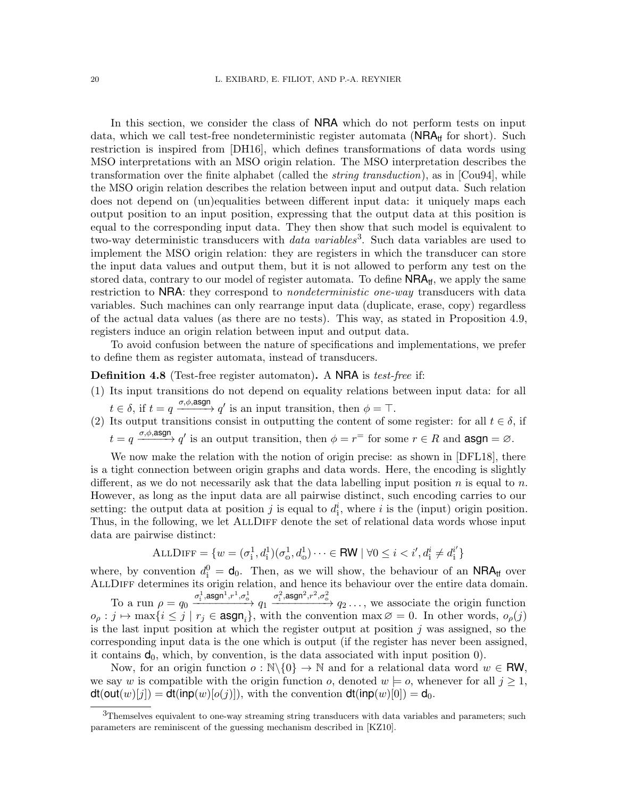In this section, we consider the class of NRA which do not perform tests on input data, which we call test-free nondeterministic register automata ( $NRA<sub>tf</sub>$  for short). Such restriction is inspired from [\[DH16\]](#page-24-7), which defines transformations of data words using MSO interpretations with an MSO origin relation. The MSO interpretation describes the transformation over the finite alphabet (called the *string transduction*), as in  $\lbrack \text{Cou94} \rbrack$ , while the MSO origin relation describes the relation between input and output data. Such relation does not depend on (un)equalities between different input data: it uniquely maps each output position to an input position, expressing that the output data at this position is equal to the corresponding input data. They then show that such model is equivalent to two-way deterministic transducers with  $data\ variables$ <sup>[3](#page-19-0)</sup>. Such data variables are used to implement the MSO origin relation: they are registers in which the transducer can store the input data values and output them, but it is not allowed to perform any test on the stored data, contrary to our model of register automata. To define  $NRA<sub>tf</sub>$ , we apply the same restriction to NRA: they correspond to *nondeterministic one-way* transducers with data variables. Such machines can only rearrange input data (duplicate, erase, copy) regardless of the actual data values (as there are no tests). This way, as stated in Proposition [4.9,](#page-20-0) registers induce an origin relation between input and output data.

To avoid confusion between the nature of specifications and implementations, we prefer to define them as register automata, instead of transducers.

Definition 4.8 (Test-free register automaton). A NRA is *test-free* if:

- (1) Its input transitions do not depend on equality relations between input data: for all  $t \in \delta$ , if  $t = q \xrightarrow{\sigma, \phi, \text{asgn}} q'$  is an input transition, then  $\phi = \top$ .
- (2) Its output transitions consist in outputting the content of some register: for all  $t \in \delta$ , if  $t = q \xrightarrow{\sigma, \phi, \text{asgn}} q'$  is an output transition, then  $\phi = r^{\pm}$  for some  $r \in R$  and  $\text{asgn} = \varnothing$ .

We now make the relation with the notion of origin precise: as shown in [\[DFL18\]](#page-24-16), there is a tight connection between origin graphs and data words. Here, the encoding is slightly different, as we do not necessarily ask that the data labelling input position n is equal to n. However, as long as the input data are all pairwise distinct, such encoding carries to our setting: the output data at position j is equal to  $d_i^i$ , where i is the (input) origin position. Thus, in the following, we let ALLDIFF denote the set of relational data words whose input data are pairwise distinct:

$$
\text{ALLDIFF} = \{w = (\sigma_i^1, d_i^1)(\sigma_o^1, d_o^1) \cdots \in \text{RW} \mid \forall 0 \leq i < i', d_i^i \neq d_i^{i'}\}
$$

where, by convention  $d_i^0 = \mathbf{d}_0$ . Then, as we will show, the behaviour of an **NRA**<sub>tf</sub> over AllDiff determines its origin relation, and hence its behaviour over the entire data domain.

To a run  $\rho = q_0 \xrightarrow{\sigma_1^1, \text{asgn}^1, r^1, \sigma_0^1} q_1 \xrightarrow{\sigma_1^2, \text{asgn}^2, r^2, \sigma_0^2} q_2 \dots$ , we associate the origin function  $o_\rho : j \mapsto \max\{i \leq j \mid r_j \in \text{asgn}_i\},\$  with the convention  $\max \emptyset = 0$ . In other words,  $o_\rho(j)$ is the last input position at which the register output at position j was assigned, so the corresponding input data is the one which is output (if the register has never been assigned, it contains  $d_0$ , which, by convention, is the data associated with input position  $0$ .

Now, for an origin function  $o : \mathbb{N}\backslash\{0\} \to \mathbb{N}$  and for a relational data word  $w \in \mathbb{RW}$ , we say w is compatible with the origin function o, denoted  $w \models o$ , whenever for all  $j \geq 1$ ,  $dt(\text{out}(w)[j]) = dt(\text{inp}(w)[o(j)]),$  with the convention  $dt(\text{inp}(w)[0]) = d_0.$ 

<span id="page-19-0"></span><sup>3</sup>Themselves equivalent to one-way streaming string transducers with data variables and parameters; such parameters are reminiscent of the guessing mechanism described in [\[KZ10\]](#page-24-17).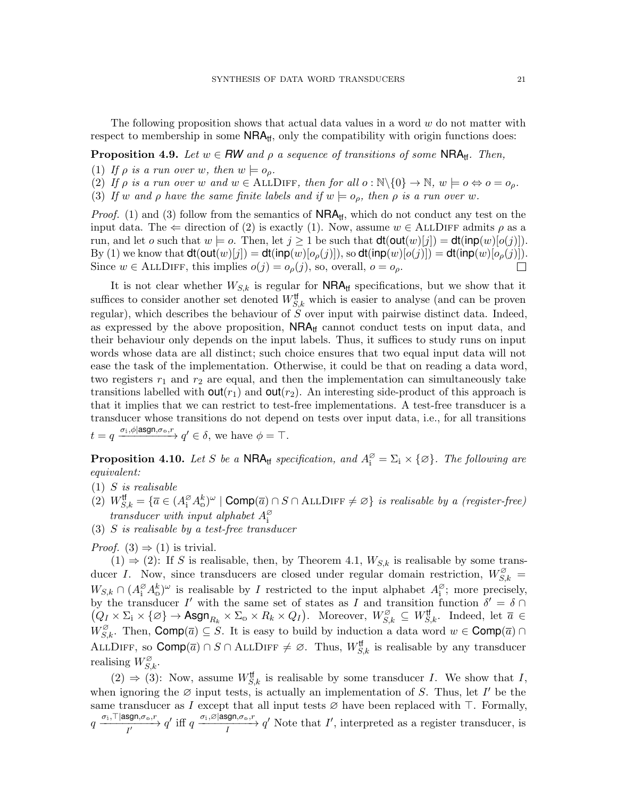The following proposition shows that actual data values in a word  $w$  do not matter with respect to membership in some  $NRA<sub>tf</sub>$ , only the compatibility with origin functions does:

# <span id="page-20-0"></span>**Proposition 4.9.** Let  $w \in \mathbb{R}W$  and  $\rho$  a sequence of transitions of some NRA<sub>tf</sub>. Then,

- <span id="page-20-1"></span>(1) If  $\rho$  is a run over w, then  $w \models o_{\rho}$ .
- <span id="page-20-3"></span>(2) If  $\rho$  is a run over w and  $w \in \text{ALIDIF}$ , then for all  $o : \mathbb{N} \setminus \{0\} \to \mathbb{N}$ ,  $w \models o \Leftrightarrow o = o_o$ .
- <span id="page-20-2"></span>(3) If w and  $\rho$  have the same finite labels and if  $w \models o_{\rho}$ , then  $\rho$  is a run over w.

*Proof.* [\(1\)](#page-20-1) and [\(3\)](#page-20-2) follow from the semantics of  $NRA<sub>tf</sub>$ , which do not conduct any test on the input data. The  $\Leftarrow$  direction of [\(2\)](#page-20-3) is exactly [\(1\)](#page-20-1). Now, assume  $w \in \text{ALLDIFF}$  admits  $\rho$  as a run, and let o such that  $w \models o$ . Then, let  $j \geq 1$  be such that  $dt(\text{out}(w)[j]) = dt(\text{inp}(w)[o(j])$ . By [\(1\)](#page-20-1) we know that  $dt(\text{out}(w)[j]) = dt(\text{inp}(w)[o_{\rho}(j)]),$  so  $dt(\text{inp}(w)[o(j)]) = dt(\text{inp}(w)[o_{\rho}(j)]).$ Since  $w \in \text{ALLDIFF},$  this implies  $o(j) = o_\rho(j)$ , so, overall,  $o = o_\rho$ .  $\Box$ 

It is not clear whether  $W_{S,k}$  is regular for  $NRA<sub>tf</sub>$  specifications, but we show that it suffices to consider another set denoted  $W_{S,k}^{\text{tf}}$  which is easier to analyse (and can be proven regular), which describes the behaviour of S over input with pairwise distinct data. Indeed, as expressed by the above proposition,  $NRA<sub>tf</sub>$  cannot conduct tests on input data, and their behaviour only depends on the input labels. Thus, it suffices to study runs on input words whose data are all distinct; such choice ensures that two equal input data will not ease the task of the implementation. Otherwise, it could be that on reading a data word, two registers  $r_1$  and  $r_2$  are equal, and then the implementation can simultaneously take transitions labelled with  $\text{out}(r_1)$  and  $\text{out}(r_2)$ . An interesting side-product of this approach is that it implies that we can restrict to test-free implementations. A test-free transducer is a transducer whose transitions do not depend on tests over input data, i.e., for all transitions  $t = q \xrightarrow{\sigma_{\text{i}}, \phi \mid \text{asgn}, \sigma_{\text{o}}, r} q' \in \delta$ , we have  $\phi = \top$ .

**Proposition 4.10.** Let S be a NRA<sub>tf</sub> specification, and  $A_i^{\emptyset} = \Sigma_i \times \{\emptyset\}$ . The following are equivalent:

- <span id="page-20-5"></span> $(1)$  S is realisable
- <span id="page-20-6"></span> $\widetilde{C}(2)$   $W_{S,k}^{\text{tf}} = {\overline{a} \in (A_1^\varnothing A_0^k)^\omega \mid \text{Comp}(\overline{a}) \cap S \cap \text{ALLDIFF} \neq \varnothing}$  is realisable by a (register-free) transducer with input alphabet  $A_{i}^{\varnothing}$
- <span id="page-20-4"></span>(3) S is realisable by a test-free transducer

*Proof.* [\(3\)](#page-20-4)  $\Rightarrow$  [\(1\)](#page-20-5) is trivial.

 $(1) \Rightarrow (2)$  $(1) \Rightarrow (2)$  $(1) \Rightarrow (2)$ : If S is realisable, then, by Theorem [4.1,](#page-16-0)  $W_{S,k}$  is realisable by some transducer I. Now, since transducers are closed under regular domain restriction,  $W_{S,k}^{\varnothing} =$  $W_{S,k} \cap (A_i^{\varnothing} A_0^k)^{\omega}$  is realisable by *I* restricted to the input alphabet  $A_i^{\varnothing}$ ; more precisely, by the transducer I' with the same set of states as I and transition function  $\delta' = \delta \cap$  $(Q_I \times \Sigma_i \times \{\varnothing\} \to \text{Asgn}_{R_k} \times \Sigma_0 \times R_k \times Q_I)$ . Moreover,  $W_{S,k}^{\varnothing} \subseteq W_{S,k}^{\text{tf}}$ . Indeed, let  $\overline{a} \in$  $W_{S,k}^{\varnothing}$ . Then,  $\text{Comp}(\overline{a}) \subseteq S$ . It is easy to build by induction a data word  $w \in \text{Comp}(\overline{a}) \cap S$ . ALLDIFF, so  $\textsf{Comp}(\overline{a}) \cap S \cap \text{ALLDIFF} \neq \emptyset$ . Thus,  $W_{S,k}^{\text{tf}}$  is realisable by any transducer realising  $W_{S,k}^{\varnothing}$ .

 $(2) \Rightarrow (3)$  $(2) \Rightarrow (3)$  $(2) \Rightarrow (3)$ : Now, assume  $W_{S,k}^{\text{tf}}$  is realisable by some transducer I. We show that I, when ignoring the  $\emptyset$  input tests, is actually an implementation of S. Thus, let I' be the same transducer as I except that all input tests  $\varnothing$  have been replaced with  $\top$ . Formally,  $q \xrightarrow[I']{} \frac{\sigma_i, \top |\text{asgn}, \sigma_{\text{o}}, r}{I'} q'$  iff  $q \xrightarrow[I']{} q'$  Note that I', interpreted as a register transducer, is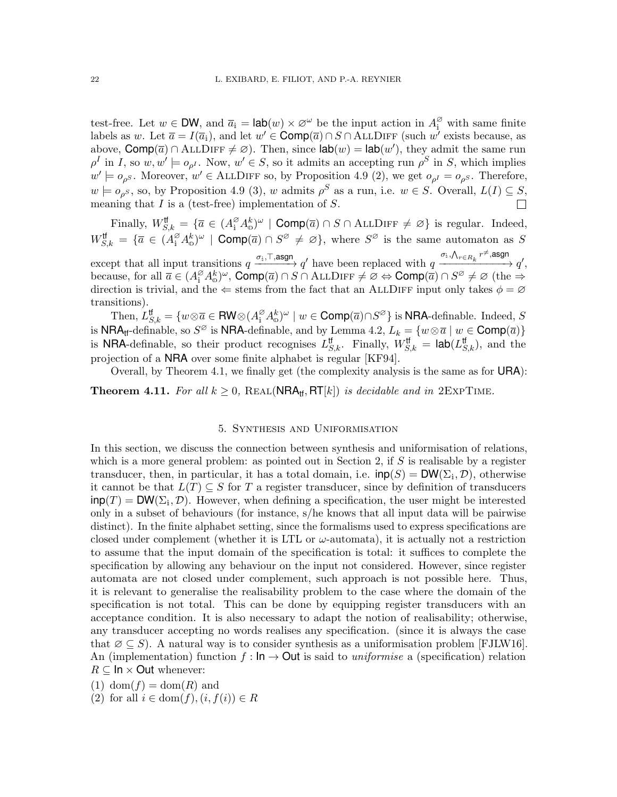test-free. Let  $w \in \mathsf{DW}$ , and  $\overline{a}_i = \mathsf{lab}(w) \times \varnothing^{\omega}$  be the input action in  $A_i^{\varnothing}$  with same finite labels as w. Let  $\overline{a} = I(\overline{a}_1)$ , and let  $w' \in \text{Comp}(\overline{a}) \cap S \cap \text{ALLDIFF}$  (such  $w'$  exists because, as above,  $Comp(\overline{a}) \cap ALLDIFF \neq \emptyset$ . Then, since  $\textsf{lab}(w) = \textsf{lab}(w')$ , they admit the same run  $\rho^I$  in I, so  $w, w' \models o_{\rho^I}$ . Now,  $w' \in S$ , so it admits an accepting run  $\rho^S$  in S, which implies  $w' \models o_{\rho^S}$ . Moreover,  $w' \in \text{ALLDIFF so}$ , by Proposition [4.9](#page-20-0) [\(2\)](#page-20-3), we get  $o_{\rho^I} = o_{\rho^S}$ . Therefore,  $w \models o_{\rho^S}$ , so, by Proposition [4.9](#page-20-0) [\(3\)](#page-20-2), w admits  $\rho^S$  as a run, i.e.  $w \in S$ . Overall,  $L(I) \subseteq S$ , meaning that  $I$  is a (test-free) implementation of  $S$ .  $\Box$ 

Finally,  $W_{S,k}^{\text{tf}} = {\overline{a} \in (A_i^{\varnothing} A_0^k)^{\omega} \mid \text{Comp}(\overline{a}) \cap S \cap \text{ALLDIFF} \neq \varnothing}$  is regular. Indeed,  $W_{S,k}^{\text{tf}} = {\overline{a} \in (A_i^{\varnothing} A_0^k)^{\omega}} \mid \text{Comp}(\overline{a}) \cap S^{\varnothing} \neq \varnothing$ , where  $S^{\varnothing}$  is the same automaton as S except that all input transitions  $q \xrightarrow{\sigma_i, \top, \text{asgn}} q'$  have been replaced with  $q \xrightarrow{\sigma_i, \Lambda_{r \in R_k} r^{\neq}, \text{asgn}}$  $\xrightarrow{C_{\perp}} q',$ because, for all  $\overline{a} \in (A_1^{\varnothing} A_0^k)^{\omega}$ ,  $\text{Comp}(\overline{a}) \cap S \cap \text{ALLDIFF} \neq \emptyset \Leftrightarrow \text{Comp}(\overline{a}) \cap S^{\varnothing} \neq \emptyset$  (the  $\Rightarrow$ direction is trivial, and the  $\Leftarrow$  stems from the fact that an ALLDIFF input only takes  $\phi = \varnothing$ transitions).

Then,  $L_{S,k}^{\text{tf}} = \{w \otimes \overline{a} \in \text{RW} \otimes (A_i^{\varnothing} A_{\omega}^k)^{\omega} \mid w \in \text{Comp}(\overline{a}) \cap S^{\varnothing}\}$  is NRA-definable. Indeed,  $S$ is NRA<sub>tf</sub>-definable, so  $S^{\varnothing}$  is NRA-definable, and by Lemma [4.2,](#page-17-0)  $L_k = \{w \otimes \overline{a} \mid w \in \text{Comp}(\overline{a})\}$ is **NRA**-definable, so their product recognises  $L_{S,k}^{\text{tf}}$ . Finally,  $W_{S,k}^{\text{tf}} = \text{lab}(L_{S,k}^{\text{tf}})$ , and the projection of a NRA over some finite alphabet is regular [\[KF94\]](#page-24-4).

Overall, by Theorem [4.1,](#page-16-0) we finally get (the complexity analysis is the same as for URA):

<span id="page-21-0"></span>**Theorem 4.11.** For all  $k \geq 0$ , REAL(NRA<sub>tf</sub>, RT[k]) is decidable and in 2EXPTIME.

### 5. Synthesis and Uniformisation

<span id="page-21-1"></span>In this section, we discuss the connection between synthesis and uniformisation of relations, which is a more general problem: as pointed out in Section [2,](#page-5-1) if  $S$  is realisable by a register transducer, then, in particular, it has a total domain, i.e.  $\text{inp}(S) = \text{DW}(\Sigma_i, \mathcal{D})$ , otherwise it cannot be that  $L(T) \subseteq S$  for T a register transducer, since by definition of transducers  $\text{inp}(T) = \text{DW}(\Sigma_i, \mathcal{D})$ . However, when defining a specification, the user might be interested only in a subset of behaviours (for instance, s/he knows that all input data will be pairwise distinct). In the finite alphabet setting, since the formalisms used to express specifications are closed under complement (whether it is LTL or  $\omega$ -automata), it is actually not a restriction to assume that the input domain of the specification is total: it suffices to complete the specification by allowing any behaviour on the input not considered. However, since register automata are not closed under complement, such approach is not possible here. Thus, it is relevant to generalise the realisability problem to the case where the domain of the specification is not total. This can be done by equipping register transducers with an acceptance condition. It is also necessary to adapt the notion of realisability; otherwise, any transducer accepting no words realises any specification. (since it is always the case that  $\varnothing \subseteq S$ ). A natural way is to consider synthesis as a uniformisation problem [\[FJLW16\]](#page-24-3). An (implementation) function  $f : \mathsf{In} \to \mathsf{Out}$  is said to *uniformise* a (specification) relation  $R \subseteq \mathsf{In} \times \mathsf{Out}$  whenever:

<span id="page-21-2"></span> $(1)$  dom $(f) = \text{dom}(R)$  and

(2) for all  $i \in \text{dom}(f), (i, f(i)) \in R$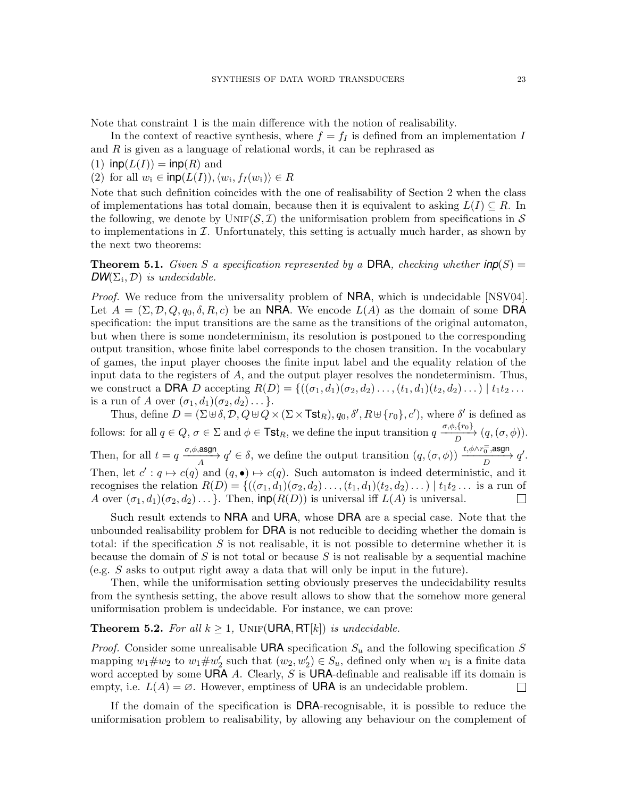Note that constraint [1](#page-21-2) is the main difference with the notion of realisability.

In the context of reactive synthesis, where  $f = f_I$  is defined from an implementation I and R is given as a language of relational words, it can be rephrased as

(1)  $\textsf{inp}(L(I)) = \textsf{inp}(R)$  and

(2) for all  $w_i \in \mathsf{inp}(L(I)), \langle w_i, f_I(w_i) \rangle \in R$ 

Note that such definition coincides with the one of realisability of Section [2](#page-5-1) when the class of implementations has total domain, because then it is equivalent to asking  $L(I) \subseteq R$ . In the following, we denote by  $\text{UNIF}(\mathcal{S}, \mathcal{I})$  the uniformisation problem from specifications in S to implementations in  $\mathcal I$ . Unfortunately, this setting is actually much harder, as shown by the next two theorems:

<span id="page-22-0"></span>**Theorem 5.1.** Given S a specification represented by a DRA, checking whether  $inp(S)$  =  $DW(\Sigma_i, \mathcal{D})$  is undecidable.

*Proof.* We reduce from the universality problem of **NRA**, which is undecidable [\[NSV04\]](#page-24-11). Let  $A = (\Sigma, \mathcal{D}, Q, q_0, \delta, R, c)$  be an NRA. We encode  $L(A)$  as the domain of some DRA specification: the input transitions are the same as the transitions of the original automaton, but when there is some nondeterminism, its resolution is postponed to the corresponding output transition, whose finite label corresponds to the chosen transition. In the vocabulary of games, the input player chooses the finite input label and the equality relation of the input data to the registers of A, and the output player resolves the nondeterminism. Thus, we construct a DRA D accepting  $R(D) = \{((\sigma_1, d_1)(\sigma_2, d_2) \dots, (t_1, d_1)(t_2, d_2) \dots) | t_1 t_2 \dots \}$ is a run of A over  $(\sigma_1, d_1)(\sigma_2, d_2) \dots$ .

Thus, define  $D = (\Sigma \oplus \delta, \mathcal{D}, Q \oplus Q \times (\Sigma \times \textsf{Tst}_R), q_0, \delta', R \oplus \{r_0\}, c')$ , where  $\delta'$  is defined as follows: for all  $q \in Q$ ,  $\sigma \in \Sigma$  and  $\phi \in \textsf{Tst}_R$ , we define the input transition  $q \xrightarrow{ \sigma, \phi, \{r_0\}} (q, (\sigma, \phi))$ . Then, for all  $t = q \xrightarrow[\text{A}]{\sigma, \phi, \text{asgn}} q' \in \delta$ , we define the output transition  $(q, (\sigma, \phi)) \xrightarrow[\text{A}]{t, \phi \wedge r_0^{\pm}, \text{asgn}} q'.$ Then, let  $c' : q \mapsto c(q)$  and  $(q, \bullet) \mapsto c(q)$ . Such automaton is indeed deterministic, and it recognises the relation  $R(D) = \{((\sigma_1, d_1)(\sigma_2, d_2) \ldots, (t_1, d_1)(t_2, d_2) \ldots) \mid t_1 t_2 \ldots$  is a run of A over  $(\sigma_1, d_1)(\sigma_2, d_2) \ldots$ . Then,  $\text{inp}(R(D))$  is universal iff  $L(A)$  is universal.  $\Box$ 

Such result extends to NRA and URA, whose DRA are a special case. Note that the unbounded realisability problem for DRA is not reducible to deciding whether the domain is total: if the specification  $S$  is not realisable, it is not possible to determine whether it is because the domain of S is not total or because S is not realisable by a sequential machine (e.g. S asks to output right away a data that will only be input in the future).

Then, while the uniformisation setting obviously preserves the undecidability results from the synthesis setting, the above result allows to show that the somehow more general uniformisation problem is undecidable. For instance, we can prove:

# **Theorem 5.2.** For all  $k \geq 1$ , UNIF(URA, RT[k]) is undecidable.

*Proof.* Consider some unrealisable URA specification  $S_u$  and the following specification S mapping  $w_1 \# w_2$  to  $w_1 \# w_2'$  such that  $(w_2, w_2') \in S_u$ , defined only when  $w_1$  is a finite data word accepted by some URA A. Clearly, S is URA-definable and realisable iff its domain is empty, i.e.  $L(A) = \emptyset$ . However, emptiness of **URA** is an undecidable problem.  $\Box$ 

If the domain of the specification is DRA-recognisable, it is possible to reduce the uniformisation problem to realisability, by allowing any behaviour on the complement of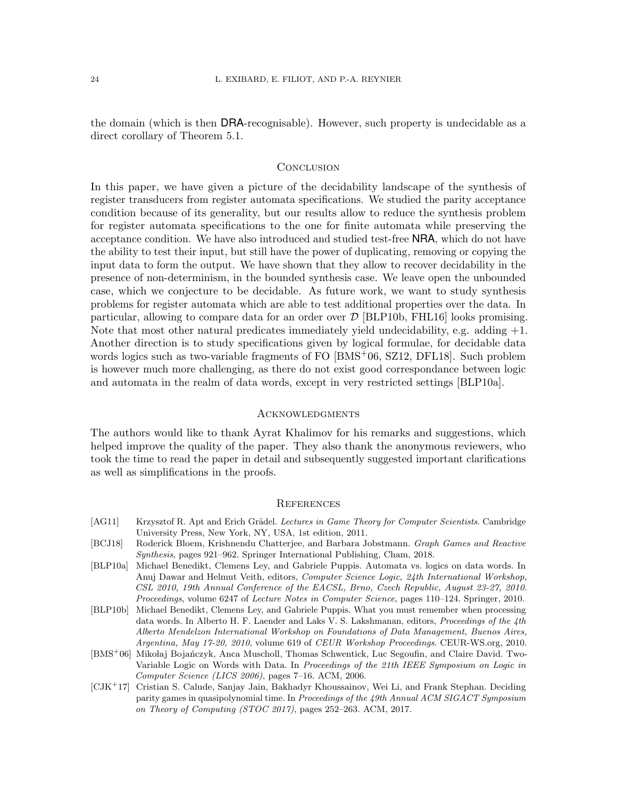the domain (which is then DRA-recognisable). However, such property is undecidable as a direct corollary of Theorem [5.1.](#page-22-0)

### **CONCLUSION**

In this paper, we have given a picture of the decidability landscape of the synthesis of register transducers from register automata specifications. We studied the parity acceptance condition because of its generality, but our results allow to reduce the synthesis problem for register automata specifications to the one for finite automata while preserving the acceptance condition. We have also introduced and studied test-free NRA, which do not have the ability to test their input, but still have the power of duplicating, removing or copying the input data to form the output. We have shown that they allow to recover decidability in the presence of non-determinism, in the bounded synthesis case. We leave open the unbounded case, which we conjecture to be decidable. As future work, we want to study synthesis problems for register automata which are able to test additional properties over the data. In particular, allowing to compare data for an order over  $\mathcal{D}$  [\[BLP10b,](#page-23-3) [FHL16\]](#page-24-18) looks promising. Note that most other natural predicates immediately yield undecidability, e.g. adding  $+1$ . Another direction is to study specifications given by logical formulae, for decidable data words logics such as two-variable fragments of FO [\[BMS](#page-23-4)+06, [SZ12,](#page-24-19) [DFL18\]](#page-24-16). Such problem is however much more challenging, as there do not exist good correspondance between logic and automata in the realm of data words, except in very restricted settings [\[BLP10a\]](#page-23-5).

#### **ACKNOWLEDGMENTS**

The authors would like to thank Ayrat Khalimov for his remarks and suggestions, which helped improve the quality of the paper. They also thank the anonymous reviewers, who took the time to read the paper in detail and subsequently suggested important clarifications as well as simplifications in the proofs.

#### **REFERENCES**

- <span id="page-23-1"></span>[AG11] Krzysztof R. Apt and Erich Grädel. Lectures in Game Theory for Computer Scientists. Cambridge University Press, New York, NY, USA, 1st edition, 2011.
- <span id="page-23-0"></span>[BCJ18] Roderick Bloem, Krishnendu Chatterjee, and Barbara Jobstmann. Graph Games and Reactive Synthesis, pages 921–962. Springer International Publishing, Cham, 2018.
- <span id="page-23-5"></span>[BLP10a] Michael Benedikt, Clemens Ley, and Gabriele Puppis. Automata vs. logics on data words. In Anuj Dawar and Helmut Veith, editors, Computer Science Logic, 24th International Workshop, CSL 2010, 19th Annual Conference of the EACSL, Brno, Czech Republic, August 23-27, 2010. Proceedings, volume 6247 of Lecture Notes in Computer Science, pages 110–124. Springer, 2010.
- <span id="page-23-3"></span>[BLP10b] Michael Benedikt, Clemens Ley, and Gabriele Puppis. What you must remember when processing data words. In Alberto H. F. Laender and Laks V. S. Lakshmanan, editors, Proceedings of the 4th Alberto Mendelzon International Workshop on Foundations of Data Management, Buenos Aires, Argentina, May 17-20, 2010, volume 619 of CEUR Workshop Proceedings. CEUR-WS.org, 2010.
- <span id="page-23-4"></span>[BMS<sup>+</sup>06] Mikołaj Bojańczyk, Anca Muscholl, Thomas Schwentick, Luc Segoufin, and Claire David. Two-Variable Logic on Words with Data. In Proceedings of the 21th IEEE Symposium on Logic in Computer Science (LICS 2006), pages 7–16. ACM, 2006.
- <span id="page-23-2"></span>[CJK<sup>+</sup>17] Cristian S. Calude, Sanjay Jain, Bakhadyr Khoussainov, Wei Li, and Frank Stephan. Deciding parity games in quasipolynomial time. In Proceedings of the 49th Annual ACM SIGACT Symposium on Theory of Computing (STOC 2017), pages 252–263. ACM, 2017.